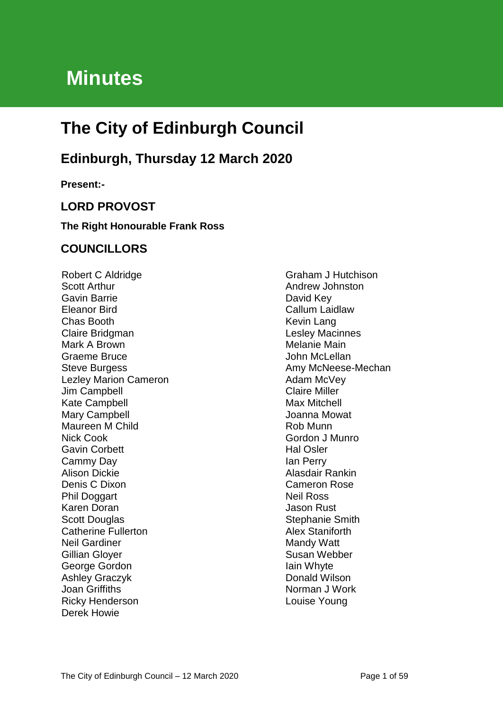# **Minutes**

# **The City of Edinburgh Council**

## **Edinburgh, Thursday 12 March 2020**

**Present:-**

## **LORD PROVOST**

#### **The Right Honourable Frank Ross**

### **COUNCILLORS**

Robert C Aldridge Scott Arthur Gavin Barrie Eleanor Bird Chas Booth Claire Bridgman Mark A Brown Graeme Bruce Steve Burgess Lezley Marion Cameron Jim Campbell Kate Campbell Mary Campbell Maureen M Child Nick Cook Gavin Corbett Cammy Day Alison Dickie Denis C Dixon Phil Doggart Karen Doran Scott Douglas Catherine Fullerton Neil Gardiner Gillian Gloyer George Gordon Ashley Graczyk Joan Griffiths Ricky Henderson Derek Howie

Graham J Hutchison Andrew Johnston David Key Callum Laidlaw Kevin Lang Lesley Macinnes Melanie Main John McLellan Amy McNeese-Mechan Adam McVey Claire Miller Max Mitchell Joanna Mowat Rob Munn Gordon J Munro Hal Osler Ian Perry Alasdair Rankin Cameron Rose Neil Ross Jason Rust Stephanie Smith Alex Staniforth Mandy Watt Susan Webber Iain Whyte Donald Wilson Norman J Work Louise Young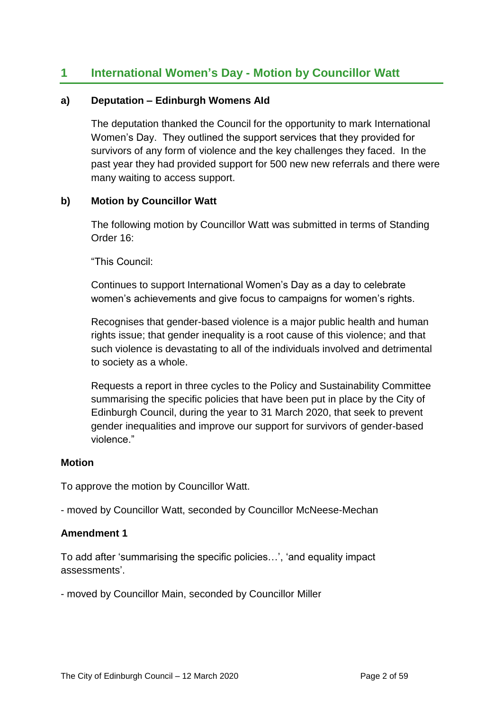## **1 International Women's Day - Motion by Councillor Watt**

#### **a) Deputation – Edinburgh Womens AId**

The deputation thanked the Council for the opportunity to mark International Women's Day. They outlined the support services that they provided for survivors of any form of violence and the key challenges they faced. In the past year they had provided support for 500 new new referrals and there were many waiting to access support.

#### **b) Motion by Councillor Watt**

The following motion by Councillor Watt was submitted in terms of Standing Order 16:

"This Council:

Continues to support International Women's Day as a day to celebrate women's achievements and give focus to campaigns for women's rights.

Recognises that gender-based violence is a major public health and human rights issue; that gender inequality is a root cause of this violence; and that such violence is devastating to all of the individuals involved and detrimental to society as a whole.

Requests a report in three cycles to the Policy and Sustainability Committee summarising the specific policies that have been put in place by the City of Edinburgh Council, during the year to 31 March 2020, that seek to prevent gender inequalities and improve our support for survivors of gender-based violence."

#### **Motion**

To approve the motion by Councillor Watt.

- moved by Councillor Watt, seconded by Councillor McNeese-Mechan

#### **Amendment 1**

To add after 'summarising the specific policies…', 'and equality impact assessments'.

- moved by Councillor Main, seconded by Councillor Miller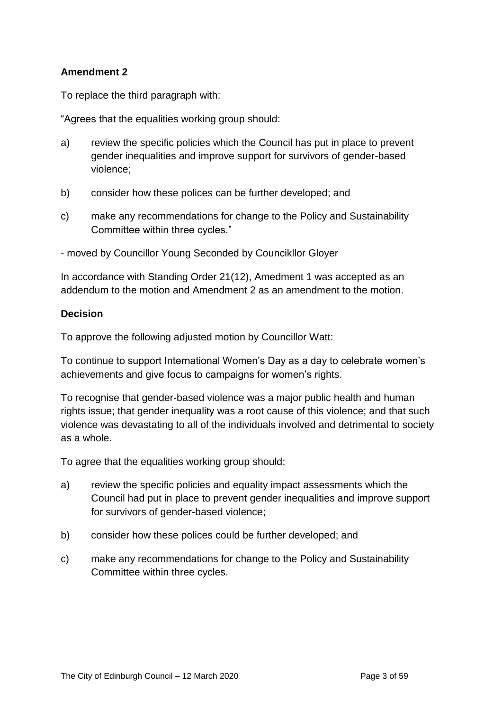#### **Amendment 2**

To replace the third paragraph with:

"Agrees that the equalities working group should:

- a) review the specific policies which the Council has put in place to prevent gender inequalities and improve support for survivors of gender-based violence;
- b) consider how these polices can be further developed; and
- c) make any recommendations for change to the Policy and Sustainability Committee within three cycles."
- moved by Councillor Young Seconded by Councikllor Gloyer

In accordance with Standing Order 21(12), Amedment 1 was accepted as an addendum to the motion and Amendment 2 as an amendment to the motion.

#### **Decision**

To approve the following adjusted motion by Councillor Watt:

To continue to support International Women's Day as a day to celebrate women's achievements and give focus to campaigns for women's rights.

To recognise that gender-based violence was a major public health and human rights issue; that gender inequality was a root cause of this violence; and that such violence was devastating to all of the individuals involved and detrimental to society as a whole.

To agree that the equalities working group should:

- a) review the specific policies and equality impact assessments which the Council had put in place to prevent gender inequalities and improve support for survivors of gender-based violence;
- b) consider how these polices could be further developed; and
- c) make any recommendations for change to the Policy and Sustainability Committee within three cycles.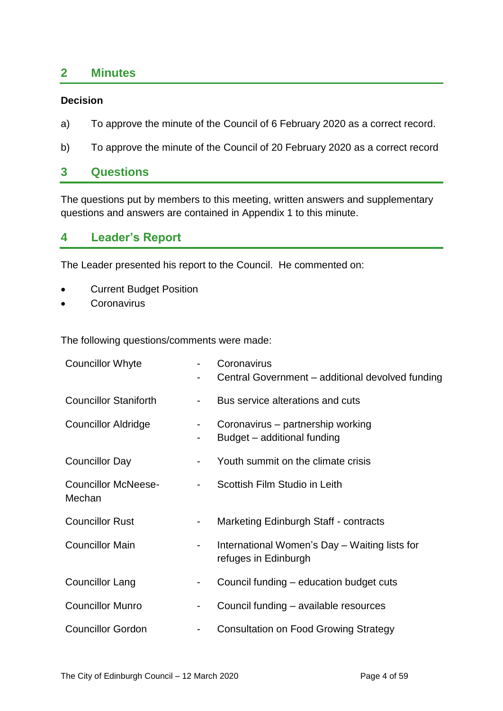### **2 Minutes**

#### **Decision**

- a) To approve the minute of the Council of 6 February 2020 as a correct record.
- b) To approve the minute of the Council of 20 February 2020 as a correct record

#### **3 Questions**

The questions put by members to this meeting, written answers and supplementary questions and answers are contained in Appendix 1 to this minute.

### **4 Leader's Report**

The Leader presented his report to the Council. He commented on:

- Current Budget Position
- **Coronavirus**

The following questions/comments were made:

|   | Coronavirus<br>Central Government - additional devolved funding       |
|---|-----------------------------------------------------------------------|
|   | Bus service alterations and cuts                                      |
|   | Coronavirus - partnership working<br>Budget - additional funding      |
|   | Youth summit on the climate crisis                                    |
| - | Scottish Film Studio in Leith                                         |
| - | Marketing Edinburgh Staff - contracts                                 |
| - | International Women's Day - Waiting lists for<br>refuges in Edinburgh |
| ۰ | Council funding - education budget cuts                               |
| ۰ | Council funding - available resources                                 |
| - | <b>Consultation on Food Growing Strategy</b>                          |
|   |                                                                       |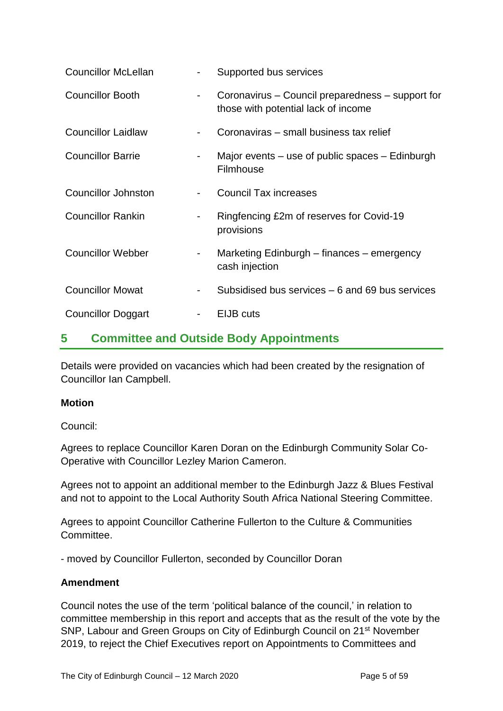| <b>Councillor McLellan</b> | $\overline{\phantom{a}}$ | Supported bus services                                                                  |
|----------------------------|--------------------------|-----------------------------------------------------------------------------------------|
| <b>Councillor Booth</b>    |                          | Coronavirus – Council preparedness – support for<br>those with potential lack of income |
| <b>Councillor Laidlaw</b>  |                          | Coronaviras - small business tax relief                                                 |
| <b>Councillor Barrie</b>   | ٠                        | Major events $-$ use of public spaces $-$ Edinburgh<br>Filmhouse                        |
| <b>Councillor Johnston</b> |                          | <b>Council Tax increases</b>                                                            |
| <b>Councillor Rankin</b>   | ۰                        | Ringfencing £2m of reserves for Covid-19<br>provisions                                  |
| <b>Councillor Webber</b>   | $\blacksquare$           | Marketing Edinburgh – finances – emergency<br>cash injection                            |
| <b>Councillor Mowat</b>    |                          | Subsidised bus services – 6 and 69 bus services                                         |
| <b>Councillor Doggart</b>  | $\blacksquare$           | EIJB cuts                                                                               |

## **5 Committee and Outside Body Appointments**

Details were provided on vacancies which had been created by the resignation of Councillor Ian Campbell.

#### **Motion**

Council:

Agrees to replace Councillor Karen Doran on the Edinburgh Community Solar Co-Operative with Councillor Lezley Marion Cameron.

Agrees not to appoint an additional member to the Edinburgh Jazz & Blues Festival and not to appoint to the Local Authority South Africa National Steering Committee.

Agrees to appoint Councillor Catherine Fullerton to the Culture & Communities Committee.

- moved by Councillor Fullerton, seconded by Councillor Doran

#### **Amendment**

Council notes the use of the term 'political balance of the council,' in relation to committee membership in this report and accepts that as the result of the vote by the SNP, Labour and Green Groups on City of Edinburgh Council on 21<sup>st</sup> November 2019, to reject the Chief Executives report on Appointments to Committees and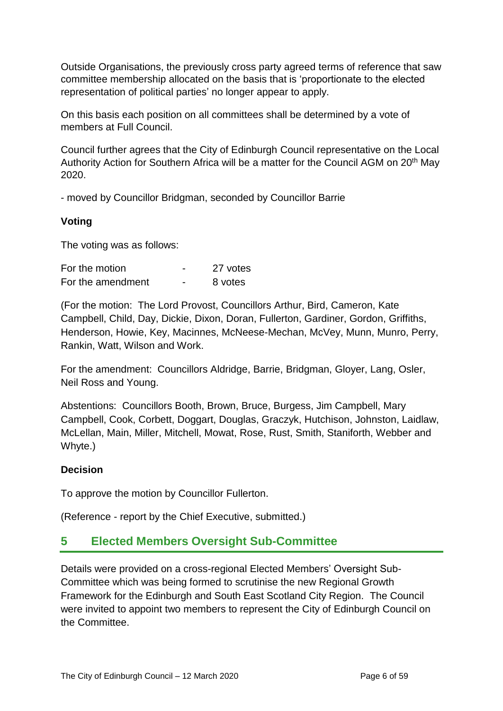Outside Organisations, the previously cross party agreed terms of reference that saw committee membership allocated on the basis that is 'proportionate to the elected representation of political parties' no longer appear to apply.

On this basis each position on all committees shall be determined by a vote of members at Full Council.

Council further agrees that the City of Edinburgh Council representative on the Local Authority Action for Southern Africa will be a matter for the Council AGM on 20<sup>th</sup> May 2020.

- moved by Councillor Bridgman, seconded by Councillor Barrie

#### **Voting**

The voting was as follows:

| For the motion    |                          | 27 votes |
|-------------------|--------------------------|----------|
| For the amendment | $\overline{\phantom{0}}$ | 8 votes  |

(For the motion: The Lord Provost, Councillors Arthur, Bird, Cameron, Kate Campbell, Child, Day, Dickie, Dixon, Doran, Fullerton, Gardiner, Gordon, Griffiths, Henderson, Howie, Key, Macinnes, McNeese-Mechan, McVey, Munn, Munro, Perry, Rankin, Watt, Wilson and Work.

For the amendment: Councillors Aldridge, Barrie, Bridgman, Gloyer, Lang, Osler, Neil Ross and Young.

Abstentions: Councillors Booth, Brown, Bruce, Burgess, Jim Campbell, Mary Campbell, Cook, Corbett, Doggart, Douglas, Graczyk, Hutchison, Johnston, Laidlaw, McLellan, Main, Miller, Mitchell, Mowat, Rose, Rust, Smith, Staniforth, Webber and Whyte.)

#### **Decision**

To approve the motion by Councillor Fullerton.

(Reference - report by the Chief Executive, submitted.)

### **5 Elected Members Oversight Sub-Committee**

Details were provided on a cross-regional Elected Members' Oversight Sub-Committee which was being formed to scrutinise the new Regional Growth Framework for the Edinburgh and South East Scotland City Region. The Council were invited to appoint two members to represent the City of Edinburgh Council on the Committee.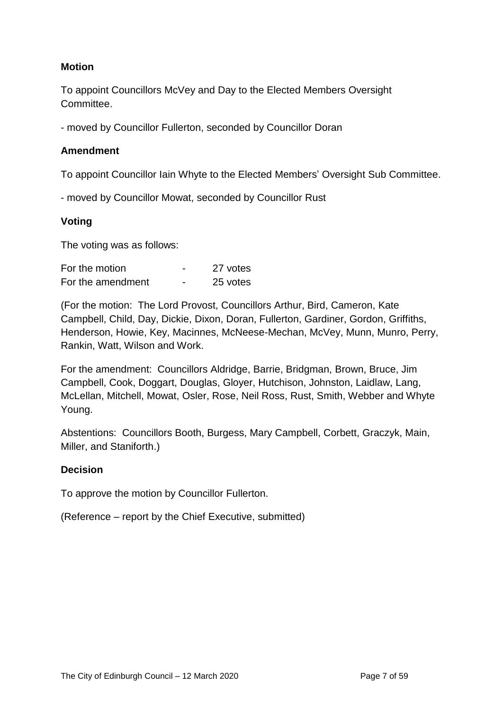#### **Motion**

To appoint Councillors McVey and Day to the Elected Members Oversight Committee.

- moved by Councillor Fullerton, seconded by Councillor Doran

#### **Amendment**

To appoint Councillor Iain Whyte to the Elected Members' Oversight Sub Committee.

- moved by Councillor Mowat, seconded by Councillor Rust

#### **Voting**

The voting was as follows:

| For the motion    | - | 27 votes |
|-------------------|---|----------|
| For the amendment | - | 25 votes |

(For the motion:The Lord Provost, Councillors Arthur, Bird, Cameron, Kate Campbell, Child, Day, Dickie, Dixon, Doran, Fullerton, Gardiner, Gordon, Griffiths, Henderson, Howie, Key, Macinnes, McNeese-Mechan, McVey, Munn, Munro, Perry, Rankin, Watt, Wilson and Work.

For the amendment: Councillors Aldridge, Barrie, Bridgman, Brown, Bruce, Jim Campbell, Cook, Doggart, Douglas, Gloyer, Hutchison, Johnston, Laidlaw, Lang, McLellan, Mitchell, Mowat, Osler, Rose, Neil Ross, Rust, Smith, Webber and Whyte Young.

Abstentions: Councillors Booth, Burgess, Mary Campbell, Corbett, Graczyk, Main, Miller, and Staniforth.)

#### **Decision**

To approve the motion by Councillor Fullerton.

(Reference – report by the Chief Executive, submitted)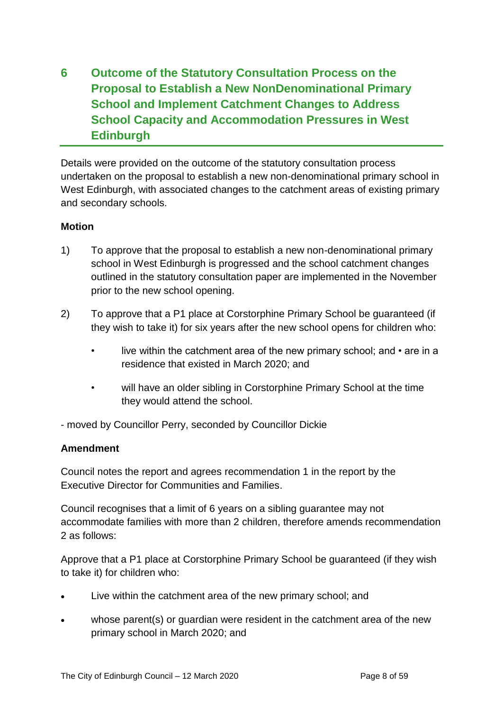## **6 Outcome of the Statutory Consultation Process on the Proposal to Establish a New NonDenominational Primary School and Implement Catchment Changes to Address School Capacity and Accommodation Pressures in West Edinburgh**

Details were provided on the outcome of the statutory consultation process undertaken on the proposal to establish a new non-denominational primary school in West Edinburgh, with associated changes to the catchment areas of existing primary and secondary schools.

#### **Motion**

- 1) To approve that the proposal to establish a new non-denominational primary school in West Edinburgh is progressed and the school catchment changes outlined in the statutory consultation paper are implemented in the November prior to the new school opening.
- 2) To approve that a P1 place at Corstorphine Primary School be guaranteed (if they wish to take it) for six years after the new school opens for children who:
	- live within the catchment area of the new primary school; and are in a residence that existed in March 2020; and
	- will have an older sibling in Corstorphine Primary School at the time they would attend the school.

- moved by Councillor Perry, seconded by Councillor Dickie

#### **Amendment**

Council notes the report and agrees recommendation 1 in the report by the Executive Director for Communities and Families.

Council recognises that a limit of 6 years on a sibling guarantee may not accommodate families with more than 2 children, therefore amends recommendation 2 as follows:

Approve that a P1 place at Corstorphine Primary School be guaranteed (if they wish to take it) for children who:

- Live within the catchment area of the new primary school; and
- whose parent(s) or guardian were resident in the catchment area of the new primary school in March 2020; and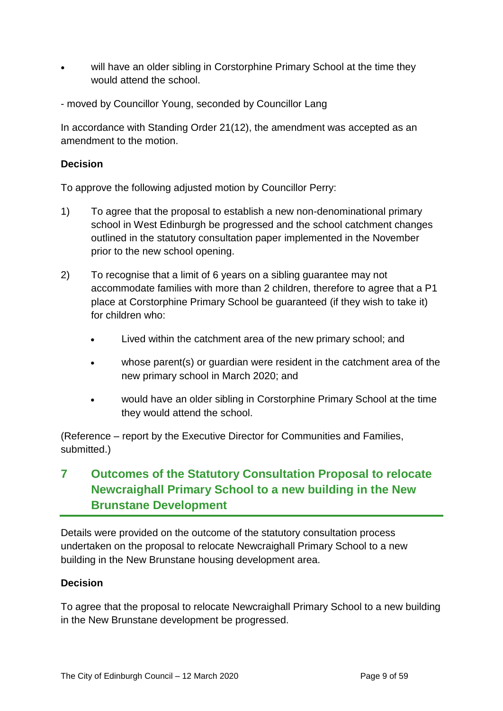- will have an older sibling in Corstorphine Primary School at the time they would attend the school.
- moved by Councillor Young, seconded by Councillor Lang

In accordance with Standing Order 21(12), the amendment was accepted as an amendment to the motion.

#### **Decision**

To approve the following adjusted motion by Councillor Perry:

- 1) To agree that the proposal to establish a new non-denominational primary school in West Edinburgh be progressed and the school catchment changes outlined in the statutory consultation paper implemented in the November prior to the new school opening.
- 2) To recognise that a limit of 6 years on a sibling guarantee may not accommodate families with more than 2 children, therefore to agree that a P1 place at Corstorphine Primary School be guaranteed (if they wish to take it) for children who:
	- Lived within the catchment area of the new primary school; and
	- whose parent(s) or guardian were resident in the catchment area of the new primary school in March 2020; and
	- would have an older sibling in Corstorphine Primary School at the time they would attend the school.

(Reference – report by the Executive Director for Communities and Families, submitted.)

## **7 Outcomes of the Statutory Consultation Proposal to relocate Newcraighall Primary School to a new building in the New Brunstane Development**

Details were provided on the outcome of the statutory consultation process undertaken on the proposal to relocate Newcraighall Primary School to a new building in the New Brunstane housing development area.

#### **Decision**

To agree that the proposal to relocate Newcraighall Primary School to a new building in the New Brunstane development be progressed.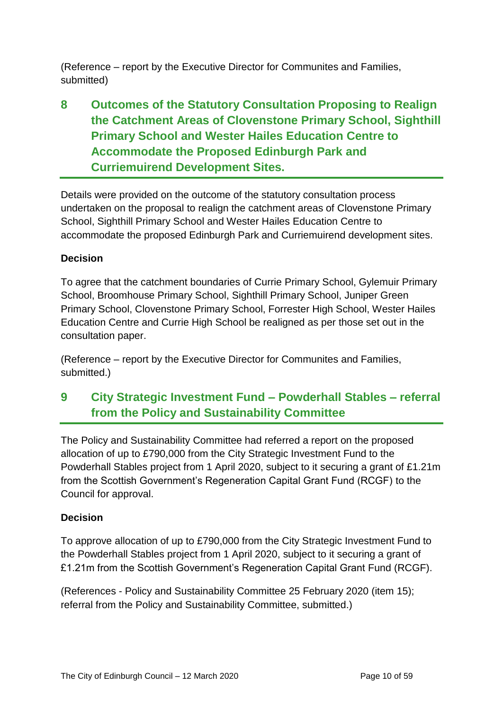(Reference – report by the Executive Director for Communites and Families, submitted)

## **8 Outcomes of the Statutory Consultation Proposing to Realign the Catchment Areas of Clovenstone Primary School, Sighthill Primary School and Wester Hailes Education Centre to Accommodate the Proposed Edinburgh Park and Curriemuirend Development Sites.**

Details were provided on the outcome of the statutory consultation process undertaken on the proposal to realign the catchment areas of Clovenstone Primary School, Sighthill Primary School and Wester Hailes Education Centre to accommodate the proposed Edinburgh Park and Curriemuirend development sites.

### **Decision**

To agree that the catchment boundaries of Currie Primary School, Gylemuir Primary School, Broomhouse Primary School, Sighthill Primary School, Juniper Green Primary School, Clovenstone Primary School, Forrester High School, Wester Hailes Education Centre and Currie High School be realigned as per those set out in the consultation paper.

(Reference – report by the Executive Director for Communites and Families, submitted.)

## **9 City Strategic Investment Fund – Powderhall Stables – referral from the Policy and Sustainability Committee**

The Policy and Sustainability Committee had referred a report on the proposed allocation of up to £790,000 from the City Strategic Investment Fund to the Powderhall Stables project from 1 April 2020, subject to it securing a grant of £1.21m from the Scottish Government's Regeneration Capital Grant Fund (RCGF) to the Council for approval.

#### **Decision**

To approve allocation of up to £790,000 from the City Strategic Investment Fund to the Powderhall Stables project from 1 April 2020, subject to it securing a grant of £1.21m from the Scottish Government's Regeneration Capital Grant Fund (RCGF).

(References - Policy and Sustainability Committee 25 February 2020 (item 15); referral from the Policy and Sustainability Committee, submitted.)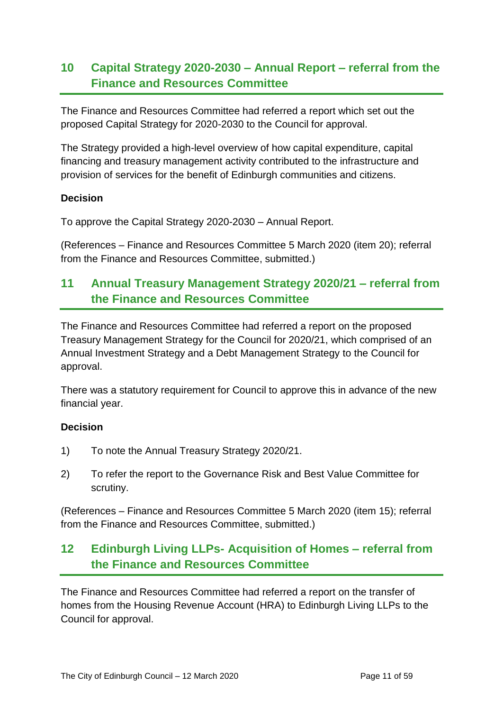## **10 Capital Strategy 2020-2030 – Annual Report – referral from the Finance and Resources Committee**

The Finance and Resources Committee had referred a report which set out the proposed Capital Strategy for 2020-2030 to the Council for approval.

The Strategy provided a high-level overview of how capital expenditure, capital financing and treasury management activity contributed to the infrastructure and provision of services for the benefit of Edinburgh communities and citizens.

#### **Decision**

To approve the Capital Strategy 2020-2030 – Annual Report.

(References – Finance and Resources Committee 5 March 2020 (item 20); referral from the Finance and Resources Committee, submitted.)

## **11 Annual Treasury Management Strategy 2020/21 – referral from the Finance and Resources Committee**

The Finance and Resources Committee had referred a report on the proposed Treasury Management Strategy for the Council for 2020/21, which comprised of an Annual Investment Strategy and a Debt Management Strategy to the Council for approval.

There was a statutory requirement for Council to approve this in advance of the new financial year.

#### **Decision**

- 1) To note the Annual Treasury Strategy 2020/21.
- 2) To refer the report to the Governance Risk and Best Value Committee for scrutiny.

(References – Finance and Resources Committee 5 March 2020 (item 15); referral from the Finance and Resources Committee, submitted.)

## **12 Edinburgh Living LLPs- Acquisition of Homes – referral from the Finance and Resources Committee**

The Finance and Resources Committee had referred a report on the transfer of homes from the Housing Revenue Account (HRA) to Edinburgh Living LLPs to the Council for approval.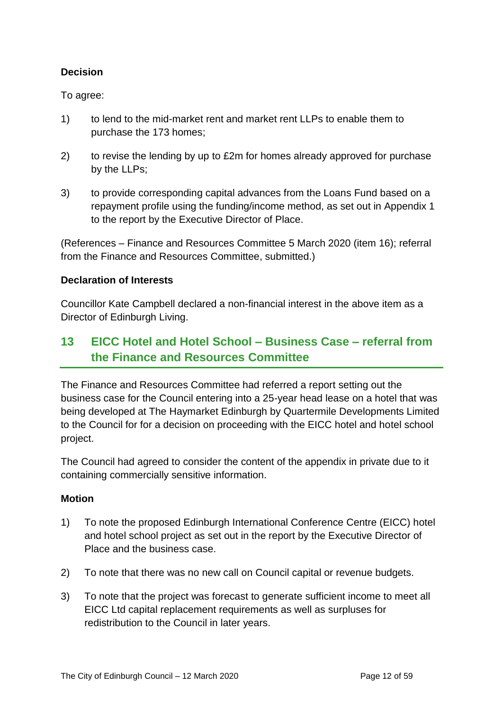### **Decision**

To agree:

- 1) to lend to the mid-market rent and market rent LLPs to enable them to purchase the 173 homes;
- 2) to revise the lending by up to £2m for homes already approved for purchase by the LLPs;
- 3) to provide corresponding capital advances from the Loans Fund based on a repayment profile using the funding/income method, as set out in Appendix 1 to the report by the Executive Director of Place.

(References – Finance and Resources Committee 5 March 2020 (item 16); referral from the Finance and Resources Committee, submitted.)

#### **Declaration of Interests**

Councillor Kate Campbell declared a non-financial interest in the above item as a Director of Edinburgh Living.

## **13 EICC Hotel and Hotel School – Business Case – referral from the Finance and Resources Committee**

The Finance and Resources Committee had referred a report setting out the business case for the Council entering into a 25-year head lease on a hotel that was being developed at The Haymarket Edinburgh by Quartermile Developments Limited to the Council for for a decision on proceeding with the EICC hotel and hotel school project.

The Council had agreed to consider the content of the appendix in private due to it containing commercially sensitive information.

#### **Motion**

- 1) To note the proposed Edinburgh International Conference Centre (EICC) hotel and hotel school project as set out in the report by the Executive Director of Place and the business case.
- 2) To note that there was no new call on Council capital or revenue budgets.
- 3) To note that the project was forecast to generate sufficient income to meet all EICC Ltd capital replacement requirements as well as surpluses for redistribution to the Council in later years.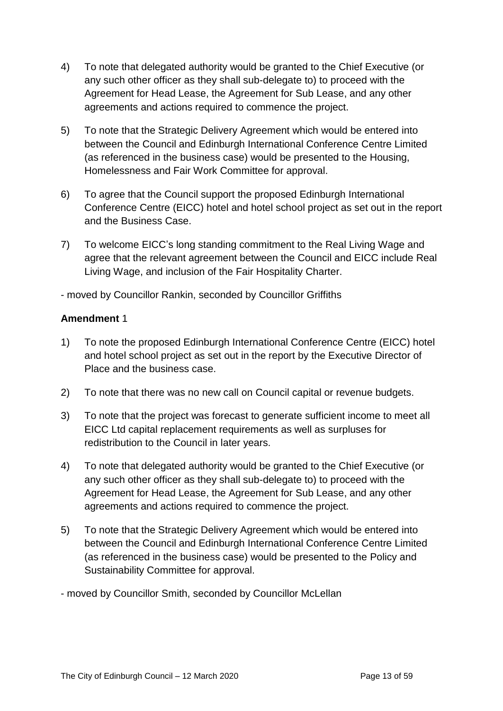- 4) To note that delegated authority would be granted to the Chief Executive (or any such other officer as they shall sub-delegate to) to proceed with the Agreement for Head Lease, the Agreement for Sub Lease, and any other agreements and actions required to commence the project.
- 5) To note that the Strategic Delivery Agreement which would be entered into between the Council and Edinburgh International Conference Centre Limited (as referenced in the business case) would be presented to the Housing, Homelessness and Fair Work Committee for approval.
- 6) To agree that the Council support the proposed Edinburgh International Conference Centre (EICC) hotel and hotel school project as set out in the report and the Business Case.
- 7) To welcome EICC's long standing commitment to the Real Living Wage and agree that the relevant agreement between the Council and EICC include Real Living Wage, and inclusion of the Fair Hospitality Charter.

- moved by Councillor Rankin, seconded by Councillor Griffiths

#### **Amendment** 1

- 1) To note the proposed Edinburgh International Conference Centre (EICC) hotel and hotel school project as set out in the report by the Executive Director of Place and the business case.
- 2) To note that there was no new call on Council capital or revenue budgets.
- 3) To note that the project was forecast to generate sufficient income to meet all EICC Ltd capital replacement requirements as well as surpluses for redistribution to the Council in later years.
- 4) To note that delegated authority would be granted to the Chief Executive (or any such other officer as they shall sub-delegate to) to proceed with the Agreement for Head Lease, the Agreement for Sub Lease, and any other agreements and actions required to commence the project.
- 5) To note that the Strategic Delivery Agreement which would be entered into between the Council and Edinburgh International Conference Centre Limited (as referenced in the business case) would be presented to the Policy and Sustainability Committee for approval.
- moved by Councillor Smith, seconded by Councillor McLellan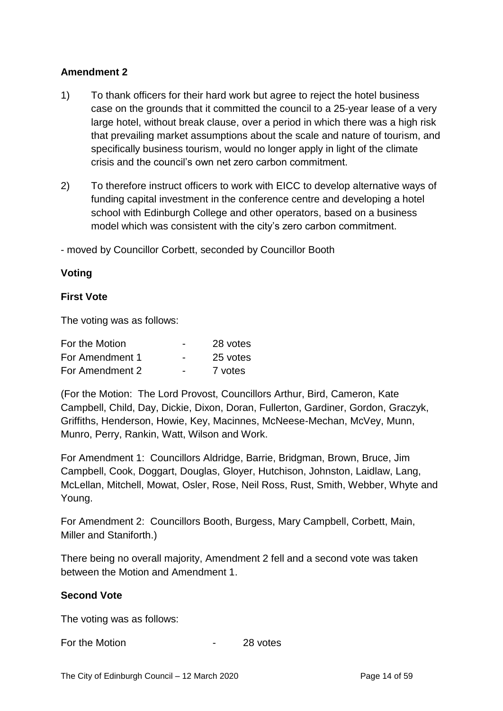#### **Amendment 2**

- 1) To thank officers for their hard work but agree to reject the hotel business case on the grounds that it committed the council to a 25-year lease of a very large hotel, without break clause, over a period in which there was a high risk that prevailing market assumptions about the scale and nature of tourism, and specifically business tourism, would no longer apply in light of the climate crisis and the council's own net zero carbon commitment.
- 2) To therefore instruct officers to work with EICC to develop alternative ways of funding capital investment in the conference centre and developing a hotel school with Edinburgh College and other operators, based on a business model which was consistent with the city's zero carbon commitment.

- moved by Councillor Corbett, seconded by Councillor Booth

#### **Voting**

#### **First Vote**

The voting was as follows:

| For the Motion  | $\overline{\phantom{0}}$ | 28 votes |
|-----------------|--------------------------|----------|
| For Amendment 1 | $\overline{\phantom{0}}$ | 25 votes |
| For Amendment 2 | $\overline{\phantom{0}}$ | 7 votes  |

(For the Motion: The Lord Provost, Councillors Arthur, Bird, Cameron, Kate Campbell, Child, Day, Dickie, Dixon, Doran, Fullerton, Gardiner, Gordon, Graczyk, Griffiths, Henderson, Howie, Key, Macinnes, McNeese-Mechan, McVey, Munn, Munro, Perry, Rankin, Watt, Wilson and Work.

For Amendment 1: Councillors Aldridge, Barrie, Bridgman, Brown, Bruce, Jim Campbell, Cook, Doggart, Douglas, Gloyer, Hutchison, Johnston, Laidlaw, Lang, McLellan, Mitchell, Mowat, Osler, Rose, Neil Ross, Rust, Smith, Webber, Whyte and Young.

For Amendment 2: Councillors Booth, Burgess, Mary Campbell, Corbett, Main, Miller and Staniforth.)

There being no overall majority, Amendment 2 fell and a second vote was taken between the Motion and Amendment 1.

#### **Second Vote**

The voting was as follows:

For the Motion **For the Motion For the Motion**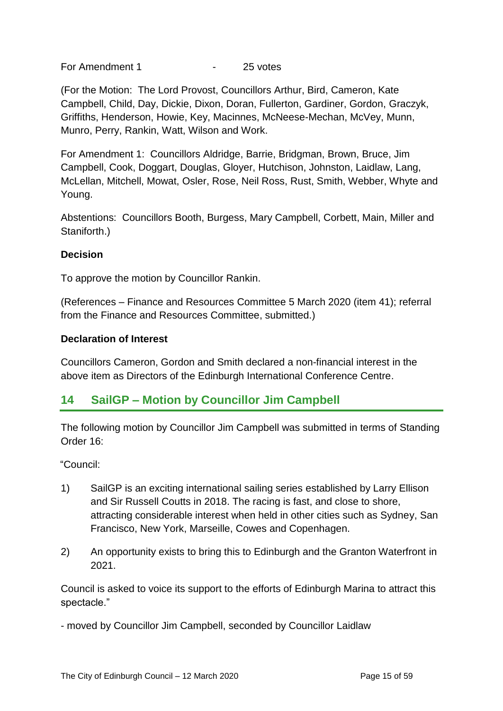For Amendment 1  $\overline{25}$  votes

(For the Motion: The Lord Provost, Councillors Arthur, Bird, Cameron, Kate Campbell, Child, Day, Dickie, Dixon, Doran, Fullerton, Gardiner, Gordon, Graczyk, Griffiths, Henderson, Howie, Key, Macinnes, McNeese-Mechan, McVey, Munn, Munro, Perry, Rankin, Watt, Wilson and Work.

For Amendment 1: Councillors Aldridge, Barrie, Bridgman, Brown, Bruce, Jim Campbell, Cook, Doggart, Douglas, Gloyer, Hutchison, Johnston, Laidlaw, Lang, McLellan, Mitchell, Mowat, Osler, Rose, Neil Ross, Rust, Smith, Webber, Whyte and Young.

Abstentions: Councillors Booth, Burgess, Mary Campbell, Corbett, Main, Miller and Staniforth.)

#### **Decision**

To approve the motion by Councillor Rankin.

(References – Finance and Resources Committee 5 March 2020 (item 41); referral from the Finance and Resources Committee, submitted.)

#### **Declaration of Interest**

Councillors Cameron, Gordon and Smith declared a non-financial interest in the above item as Directors of the Edinburgh International Conference Centre.

## **14 SailGP – Motion by Councillor Jim Campbell**

The following motion by Councillor Jim Campbell was submitted in terms of Standing Order 16:

"Council:

- 1) SailGP is an exciting international sailing series established by Larry Ellison and Sir Russell Coutts in 2018. The racing is fast, and close to shore, attracting considerable interest when held in other cities such as Sydney, San Francisco, New York, Marseille, Cowes and Copenhagen.
- 2) An opportunity exists to bring this to Edinburgh and the Granton Waterfront in 2021.

Council is asked to voice its support to the efforts of Edinburgh Marina to attract this spectacle."

- moved by Councillor Jim Campbell, seconded by Councillor Laidlaw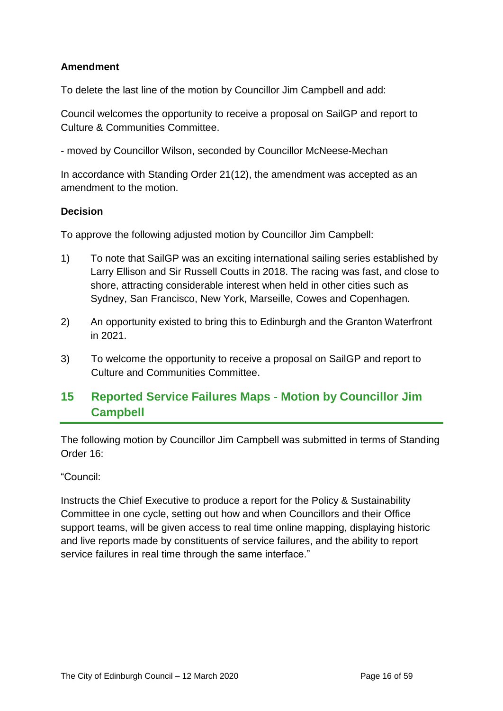### **Amendment**

To delete the last line of the motion by Councillor Jim Campbell and add:

Council welcomes the opportunity to receive a proposal on SailGP and report to Culture & Communities Committee.

- moved by Councillor Wilson, seconded by Councillor McNeese-Mechan

In accordance with Standing Order 21(12), the amendment was accepted as an amendment to the motion.

#### **Decision**

To approve the following adjusted motion by Councillor Jim Campbell:

- 1) To note that SailGP was an exciting international sailing series established by Larry Ellison and Sir Russell Coutts in 2018. The racing was fast, and close to shore, attracting considerable interest when held in other cities such as Sydney, San Francisco, New York, Marseille, Cowes and Copenhagen.
- 2) An opportunity existed to bring this to Edinburgh and the Granton Waterfront in 2021.
- 3) To welcome the opportunity to receive a proposal on SailGP and report to Culture and Communities Committee.

## **15 Reported Service Failures Maps - Motion by Councillor Jim Campbell**

The following motion by Councillor Jim Campbell was submitted in terms of Standing Order 16:

#### "Council:

Instructs the Chief Executive to produce a report for the Policy & Sustainability Committee in one cycle, setting out how and when Councillors and their Office support teams, will be given access to real time online mapping, displaying historic and live reports made by constituents of service failures, and the ability to report service failures in real time through the same interface."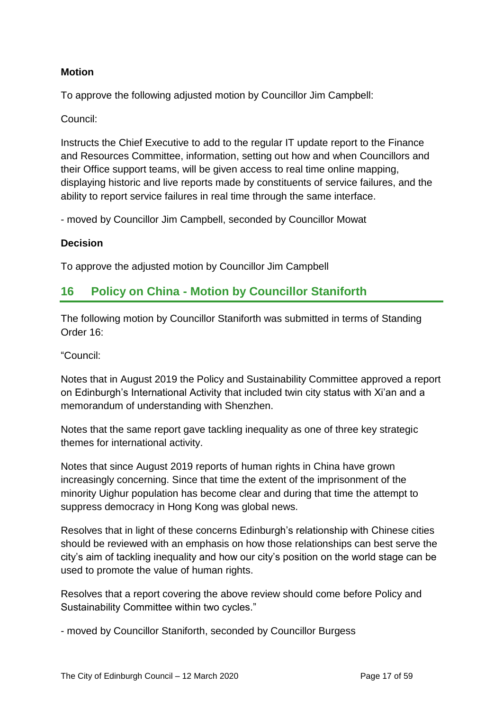#### **Motion**

To approve the following adjusted motion by Councillor Jim Campbell:

#### Council:

Instructs the Chief Executive to add to the regular IT update report to the Finance and Resources Committee, information, setting out how and when Councillors and their Office support teams, will be given access to real time online mapping, displaying historic and live reports made by constituents of service failures, and the ability to report service failures in real time through the same interface.

- moved by Councillor Jim Campbell, seconded by Councillor Mowat

#### **Decision**

To approve the adjusted motion by Councillor Jim Campbell

## **16 Policy on China - Motion by Councillor Staniforth**

The following motion by Councillor Staniforth was submitted in terms of Standing Order 16:

"Council:

Notes that in August 2019 the Policy and Sustainability Committee approved a report on Edinburgh's International Activity that included twin city status with Xi'an and a memorandum of understanding with Shenzhen.

Notes that the same report gave tackling inequality as one of three key strategic themes for international activity.

Notes that since August 2019 reports of human rights in China have grown increasingly concerning. Since that time the extent of the imprisonment of the minority Uighur population has become clear and during that time the attempt to suppress democracy in Hong Kong was global news.

Resolves that in light of these concerns Edinburgh's relationship with Chinese cities should be reviewed with an emphasis on how those relationships can best serve the city's aim of tackling inequality and how our city's position on the world stage can be used to promote the value of human rights.

Resolves that a report covering the above review should come before Policy and Sustainability Committee within two cycles."

- moved by Councillor Staniforth, seconded by Councillor Burgess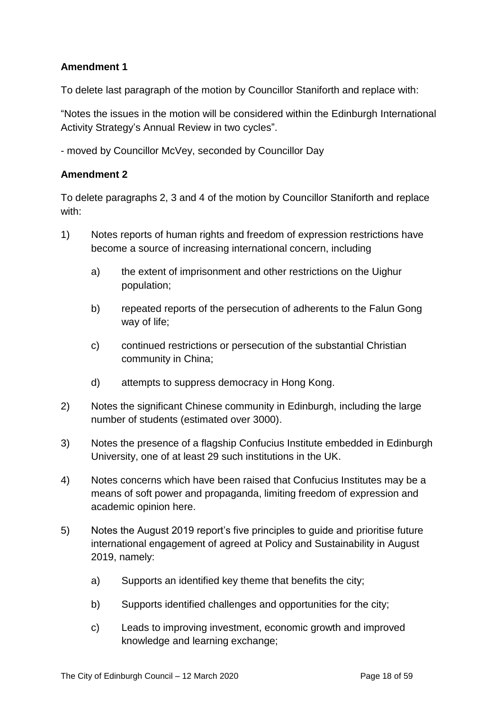### **Amendment 1**

To delete last paragraph of the motion by Councillor Staniforth and replace with:

"Notes the issues in the motion will be considered within the Edinburgh International Activity Strategy's Annual Review in two cycles".

- moved by Councillor McVey, seconded by Councillor Day

#### **Amendment 2**

To delete paragraphs 2, 3 and 4 of the motion by Councillor Staniforth and replace with:

- 1) Notes reports of human rights and freedom of expression restrictions have become a source of increasing international concern, including
	- a) the extent of imprisonment and other restrictions on the Uighur population;
	- b) repeated reports of the persecution of adherents to the Falun Gong way of life;
	- c) continued restrictions or persecution of the substantial Christian community in China;
	- d) attempts to suppress democracy in Hong Kong.
- 2) Notes the significant Chinese community in Edinburgh, including the large number of students (estimated over 3000).
- 3) Notes the presence of a flagship Confucius Institute embedded in Edinburgh University, one of at least 29 such institutions in the UK.
- 4) Notes concerns which have been raised that Confucius Institutes may be a means of soft power and propaganda, limiting freedom of expression and academic opinion here.
- 5) Notes the August 2019 report's five principles to guide and prioritise future international engagement of agreed at Policy and Sustainability in August 2019, namely:
	- a) Supports an identified key theme that benefits the city;
	- b) Supports identified challenges and opportunities for the city;
	- c) Leads to improving investment, economic growth and improved knowledge and learning exchange;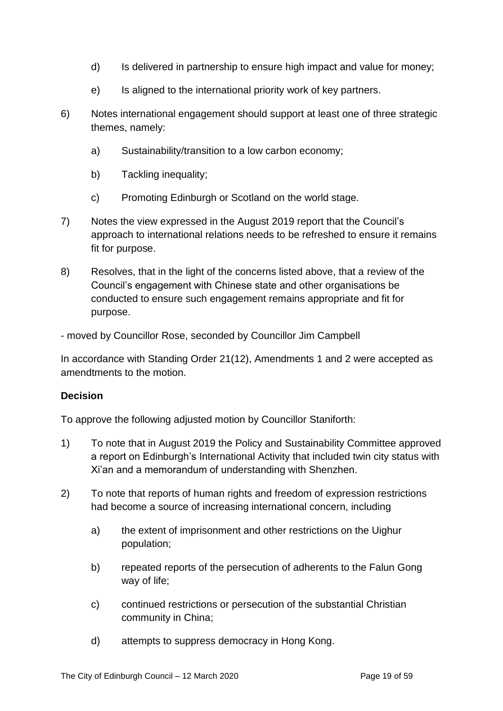- d) Is delivered in partnership to ensure high impact and value for money;
- e) Is aligned to the international priority work of key partners.
- 6) Notes international engagement should support at least one of three strategic themes, namely:
	- a) Sustainability/transition to a low carbon economy;
	- b) Tackling inequality;
	- c) Promoting Edinburgh or Scotland on the world stage.
- 7) Notes the view expressed in the August 2019 report that the Council's approach to international relations needs to be refreshed to ensure it remains fit for purpose.
- 8) Resolves, that in the light of the concerns listed above, that a review of the Council's engagement with Chinese state and other organisations be conducted to ensure such engagement remains appropriate and fit for purpose.
- moved by Councillor Rose, seconded by Councillor Jim Campbell

In accordance with Standing Order 21(12), Amendments 1 and 2 were accepted as amendtments to the motion.

#### **Decision**

To approve the following adjusted motion by Councillor Staniforth:

- 1) To note that in August 2019 the Policy and Sustainability Committee approved a report on Edinburgh's International Activity that included twin city status with Xi'an and a memorandum of understanding with Shenzhen.
- 2) To note that reports of human rights and freedom of expression restrictions had become a source of increasing international concern, including
	- a) the extent of imprisonment and other restrictions on the Uighur population;
	- b) repeated reports of the persecution of adherents to the Falun Gong way of life;
	- c) continued restrictions or persecution of the substantial Christian community in China;
	- d) attempts to suppress democracy in Hong Kong.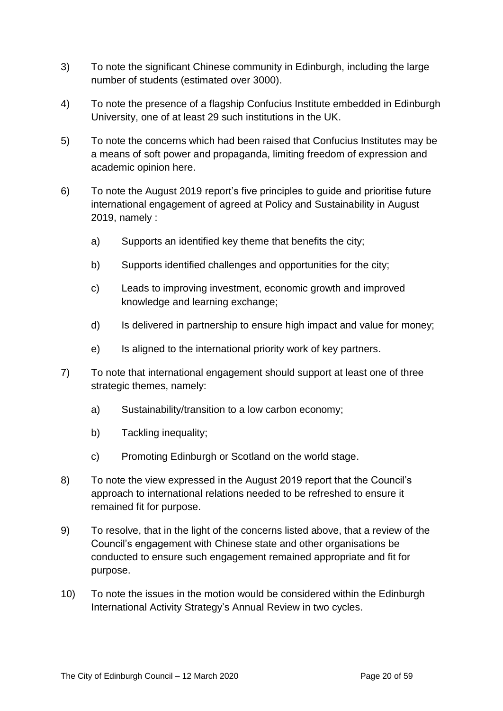- 3) To note the significant Chinese community in Edinburgh, including the large number of students (estimated over 3000).
- 4) To note the presence of a flagship Confucius Institute embedded in Edinburgh University, one of at least 29 such institutions in the UK.
- 5) To note the concerns which had been raised that Confucius Institutes may be a means of soft power and propaganda, limiting freedom of expression and academic opinion here.
- 6) To note the August 2019 report's five principles to guide and prioritise future international engagement of agreed at Policy and Sustainability in August 2019, namely :
	- a) Supports an identified key theme that benefits the city;
	- b) Supports identified challenges and opportunities for the city;
	- c) Leads to improving investment, economic growth and improved knowledge and learning exchange;
	- d) Is delivered in partnership to ensure high impact and value for money;
	- e) Is aligned to the international priority work of key partners.
- 7) To note that international engagement should support at least one of three strategic themes, namely:
	- a) Sustainability/transition to a low carbon economy;
	- b) Tackling inequality;
	- c) Promoting Edinburgh or Scotland on the world stage.
- 8) To note the view expressed in the August 2019 report that the Council's approach to international relations needed to be refreshed to ensure it remained fit for purpose.
- 9) To resolve, that in the light of the concerns listed above, that a review of the Council's engagement with Chinese state and other organisations be conducted to ensure such engagement remained appropriate and fit for purpose.
- 10) To note the issues in the motion would be considered within the Edinburgh International Activity Strategy's Annual Review in two cycles.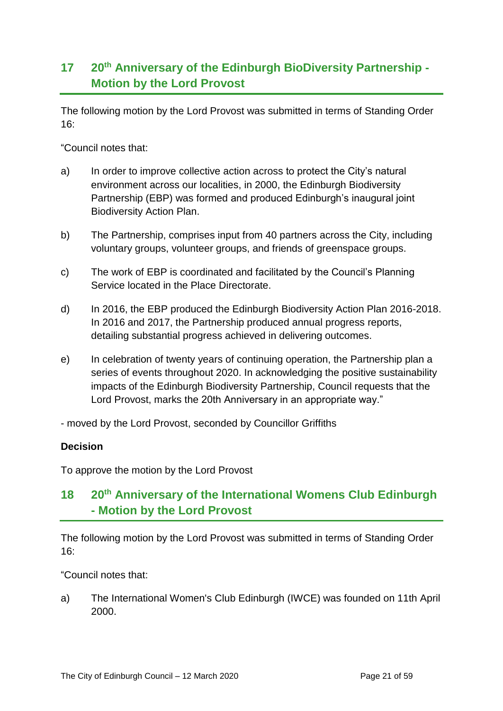## **17 20th Anniversary of the Edinburgh BioDiversity Partnership - Motion by the Lord Provost**

The following motion by the Lord Provost was submitted in terms of Standing Order 16:

"Council notes that:

- a) In order to improve collective action across to protect the City's natural environment across our localities, in 2000, the Edinburgh Biodiversity Partnership (EBP) was formed and produced Edinburgh's inaugural joint Biodiversity Action Plan.
- b) The Partnership, comprises input from 40 partners across the City, including voluntary groups, volunteer groups, and friends of greenspace groups.
- c) The work of EBP is coordinated and facilitated by the Council's Planning Service located in the Place Directorate.
- d) In 2016, the EBP produced the Edinburgh Biodiversity Action Plan 2016-2018. In 2016 and 2017, the Partnership produced annual progress reports, detailing substantial progress achieved in delivering outcomes.
- e) In celebration of twenty years of continuing operation, the Partnership plan a series of events throughout 2020. In acknowledging the positive sustainability impacts of the Edinburgh Biodiversity Partnership, Council requests that the Lord Provost, marks the 20th Anniversary in an appropriate way."

- moved by the Lord Provost, seconded by Councillor Griffiths

#### **Decision**

To approve the motion by the Lord Provost

## **18 20th Anniversary of the International Womens Club Edinburgh - Motion by the Lord Provost**

The following motion by the Lord Provost was submitted in terms of Standing Order 16:

"Council notes that:

a) The International Women's Club Edinburgh (IWCE) was founded on 11th April 2000.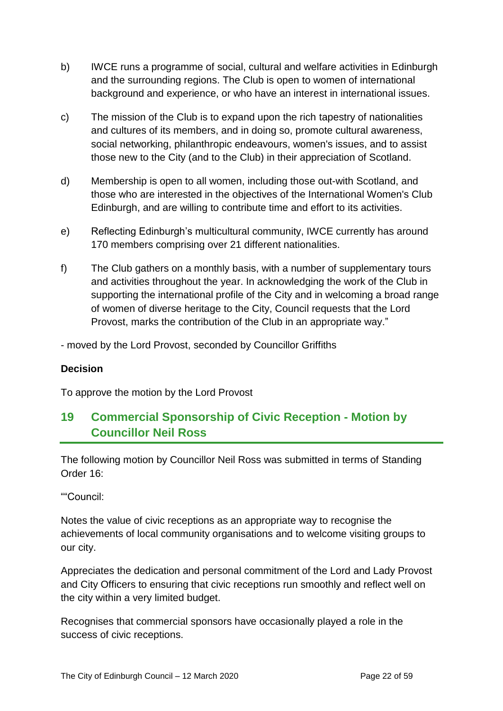- b) IWCE runs a programme of social, cultural and welfare activities in Edinburgh and the surrounding regions. The Club is open to women of international background and experience, or who have an interest in international issues.
- c) The mission of the Club is to expand upon the rich tapestry of nationalities and cultures of its members, and in doing so, promote cultural awareness, social networking, philanthropic endeavours, women's issues, and to assist those new to the City (and to the Club) in their appreciation of Scotland.
- d) Membership is open to all women, including those out-with Scotland, and those who are interested in the objectives of the International Women's Club Edinburgh, and are willing to contribute time and effort to its activities.
- e) Reflecting Edinburgh's multicultural community, IWCE currently has around 170 members comprising over 21 different nationalities.
- f) The Club gathers on a monthly basis, with a number of supplementary tours and activities throughout the year. In acknowledging the work of the Club in supporting the international profile of the City and in welcoming a broad range of women of diverse heritage to the City, Council requests that the Lord Provost, marks the contribution of the Club in an appropriate way."

- moved by the Lord Provost, seconded by Councillor Griffiths

#### **Decision**

To approve the motion by the Lord Provost

## **19 Commercial Sponsorship of Civic Reception - Motion by Councillor Neil Ross**

The following motion by Councillor Neil Ross was submitted in terms of Standing Order 16:

""Council:

Notes the value of civic receptions as an appropriate way to recognise the achievements of local community organisations and to welcome visiting groups to our city.

Appreciates the dedication and personal commitment of the Lord and Lady Provost and City Officers to ensuring that civic receptions run smoothly and reflect well on the city within a very limited budget.

Recognises that commercial sponsors have occasionally played a role in the success of civic receptions.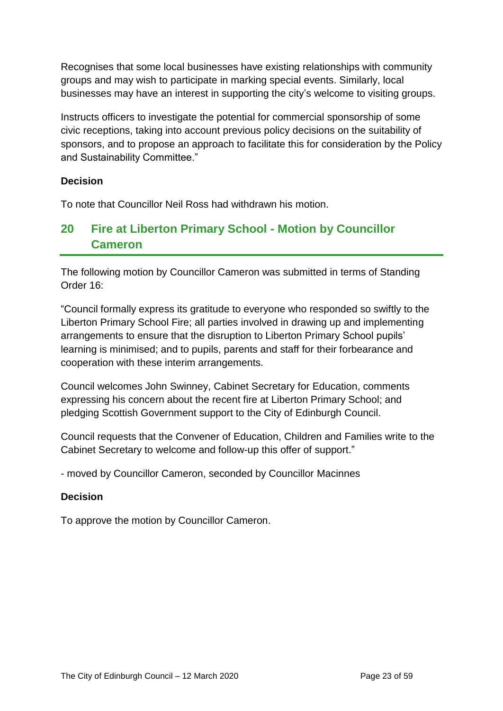Recognises that some local businesses have existing relationships with community groups and may wish to participate in marking special events. Similarly, local businesses may have an interest in supporting the city's welcome to visiting groups.

Instructs officers to investigate the potential for commercial sponsorship of some civic receptions, taking into account previous policy decisions on the suitability of sponsors, and to propose an approach to facilitate this for consideration by the Policy and Sustainability Committee."

#### **Decision**

To note that Councillor Neil Ross had withdrawn his motion.

## **20 Fire at Liberton Primary School - Motion by Councillor Cameron**

The following motion by Councillor Cameron was submitted in terms of Standing Order 16:

"Council formally express its gratitude to everyone who responded so swiftly to the Liberton Primary School Fire; all parties involved in drawing up and implementing arrangements to ensure that the disruption to Liberton Primary School pupils' learning is minimised; and to pupils, parents and staff for their forbearance and cooperation with these interim arrangements.

Council welcomes John Swinney, Cabinet Secretary for Education, comments expressing his concern about the recent fire at Liberton Primary School; and pledging Scottish Government support to the City of Edinburgh Council.

Council requests that the Convener of Education, Children and Families write to the Cabinet Secretary to welcome and follow-up this offer of support."

- moved by Councillor Cameron, seconded by Councillor Macinnes

#### **Decision**

To approve the motion by Councillor Cameron.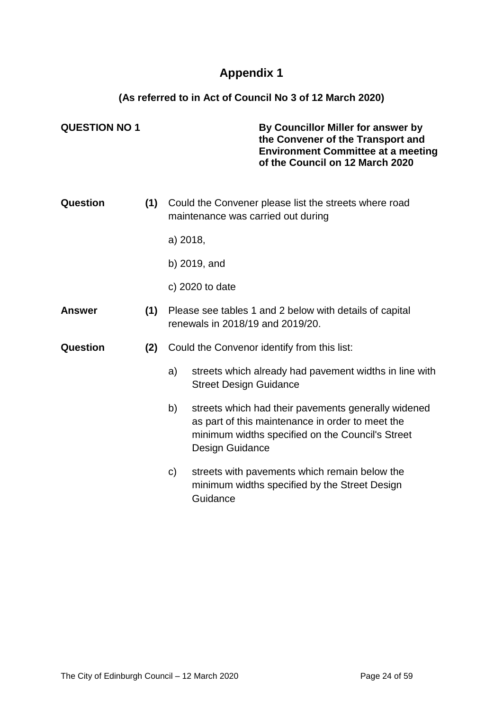## **Appendix 1**

**(As referred to in Act of Council No 3 of 12 March 2020)**

| <b>QUESTION NO 1</b> |     |                                                                                             | By Councillor Miller for answer by<br>the Convener of the Transport and<br><b>Environment Committee at a meeting</b><br>of the Council on 12 March 2020                        |
|----------------------|-----|---------------------------------------------------------------------------------------------|--------------------------------------------------------------------------------------------------------------------------------------------------------------------------------|
| Question             | (1) |                                                                                             | Could the Convener please list the streets where road<br>maintenance was carried out during                                                                                    |
|                      |     | a) 2018,                                                                                    |                                                                                                                                                                                |
|                      |     |                                                                                             | b) 2019, and                                                                                                                                                                   |
|                      |     |                                                                                             | c) $2020$ to date                                                                                                                                                              |
| <b>Answer</b>        | (1) | Please see tables 1 and 2 below with details of capital<br>renewals in 2018/19 and 2019/20. |                                                                                                                                                                                |
| Question             | (2) | Could the Convenor identify from this list:                                                 |                                                                                                                                                                                |
|                      |     | a)                                                                                          | streets which already had pavement widths in line with<br><b>Street Design Guidance</b>                                                                                        |
|                      |     | b)                                                                                          | streets which had their pavements generally widened<br>as part of this maintenance in order to meet the<br>minimum widths specified on the Council's Street<br>Design Guidance |
|                      |     | C)                                                                                          | streets with pavements which remain below the<br>minimum widths specified by the Street Design<br>Guidance                                                                     |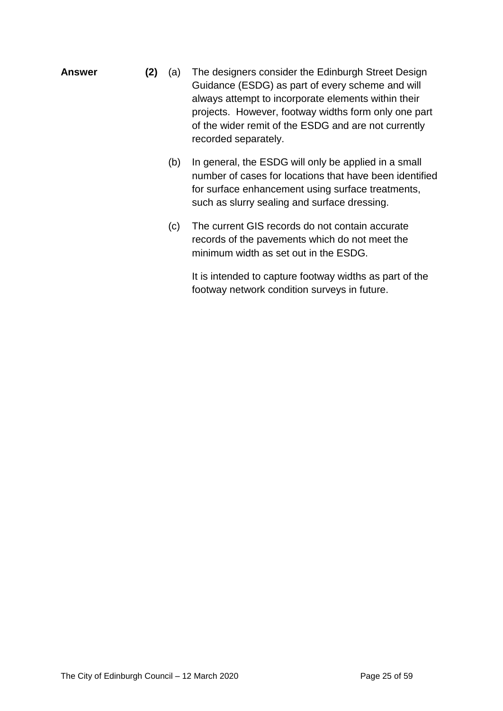- **Answer (2)** (a) The designers consider the Edinburgh Street Design Guidance (ESDG) as part of every scheme and will always attempt to incorporate elements within their projects. However, footway widths form only one part of the wider remit of the ESDG and are not currently recorded separately.
	- (b) In general, the ESDG will only be applied in a small number of cases for locations that have been identified for surface enhancement using surface treatments, such as slurry sealing and surface dressing.
	- (c) The current GIS records do not contain accurate records of the pavements which do not meet the minimum width as set out in the ESDG.

It is intended to capture footway widths as part of the footway network condition surveys in future.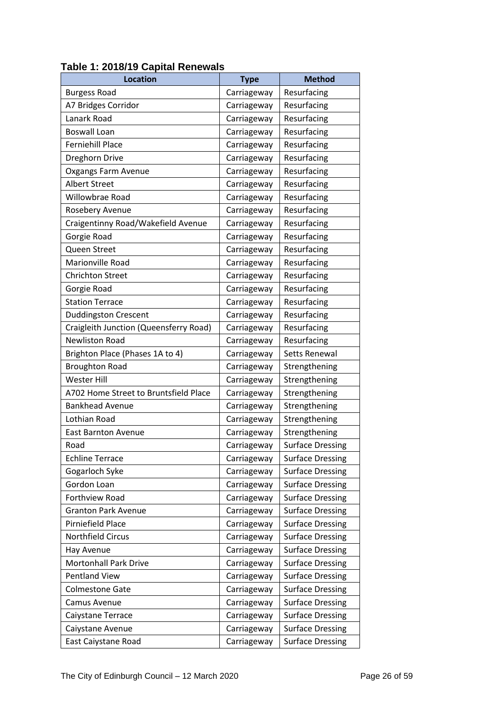| <b>Location</b>                        | <b>Type</b> | <b>Method</b>           |
|----------------------------------------|-------------|-------------------------|
| <b>Burgess Road</b>                    | Carriageway | Resurfacing             |
| A7 Bridges Corridor                    | Carriageway | Resurfacing             |
| Lanark Road                            | Carriageway | Resurfacing             |
| <b>Boswall Loan</b>                    | Carriageway | Resurfacing             |
| <b>Ferniehill Place</b>                | Carriageway | Resurfacing             |
| Dreghorn Drive                         | Carriageway | Resurfacing             |
| Oxgangs Farm Avenue                    | Carriageway | Resurfacing             |
| <b>Albert Street</b>                   | Carriageway | Resurfacing             |
| Willowbrae Road                        | Carriageway | Resurfacing             |
| Rosebery Avenue                        | Carriageway | Resurfacing             |
| Craigentinny Road/Wakefield Avenue     | Carriageway | Resurfacing             |
| Gorgie Road                            | Carriageway | Resurfacing             |
| Queen Street                           | Carriageway | Resurfacing             |
| Marionville Road                       | Carriageway | Resurfacing             |
| <b>Chrichton Street</b>                | Carriageway | Resurfacing             |
| Gorgie Road                            | Carriageway | Resurfacing             |
| <b>Station Terrace</b>                 | Carriageway | Resurfacing             |
| <b>Duddingston Crescent</b>            | Carriageway | Resurfacing             |
| Craigleith Junction (Queensferry Road) | Carriageway | Resurfacing             |
| <b>Newliston Road</b>                  | Carriageway | Resurfacing             |
| Brighton Place (Phases 1A to 4)        | Carriageway | Setts Renewal           |
| <b>Broughton Road</b>                  | Carriageway | Strengthening           |
| <b>Wester Hill</b>                     | Carriageway | Strengthening           |
| A702 Home Street to Bruntsfield Place  | Carriageway | Strengthening           |
| <b>Bankhead Avenue</b>                 | Carriageway | Strengthening           |
| Lothian Road                           | Carriageway | Strengthening           |
| <b>East Barnton Avenue</b>             | Carriageway | Strengthening           |
| Road                                   | Carriageway | <b>Surface Dressing</b> |
| <b>Echline Terrace</b>                 | Carriageway | <b>Surface Dressing</b> |
| Gogarloch Syke                         | Carriageway | <b>Surface Dressing</b> |
| Gordon Loan                            | Carriageway | <b>Surface Dressing</b> |
| Forthview Road                         | Carriageway | <b>Surface Dressing</b> |
| <b>Granton Park Avenue</b>             | Carriageway | <b>Surface Dressing</b> |
| Pirniefield Place                      | Carriageway | <b>Surface Dressing</b> |
| Northfield Circus                      | Carriageway | <b>Surface Dressing</b> |
| Hay Avenue                             | Carriageway | <b>Surface Dressing</b> |
| <b>Mortonhall Park Drive</b>           | Carriageway | <b>Surface Dressing</b> |
| <b>Pentland View</b>                   | Carriageway | <b>Surface Dressing</b> |
| <b>Colmestone Gate</b>                 | Carriageway | <b>Surface Dressing</b> |
| Camus Avenue                           | Carriageway | <b>Surface Dressing</b> |
| Caiystane Terrace                      | Carriageway | <b>Surface Dressing</b> |
| Caiystane Avenue                       | Carriageway | <b>Surface Dressing</b> |
| East Caiystane Road                    | Carriageway | <b>Surface Dressing</b> |

### **Table 1: 2018/19 Capital Renewals**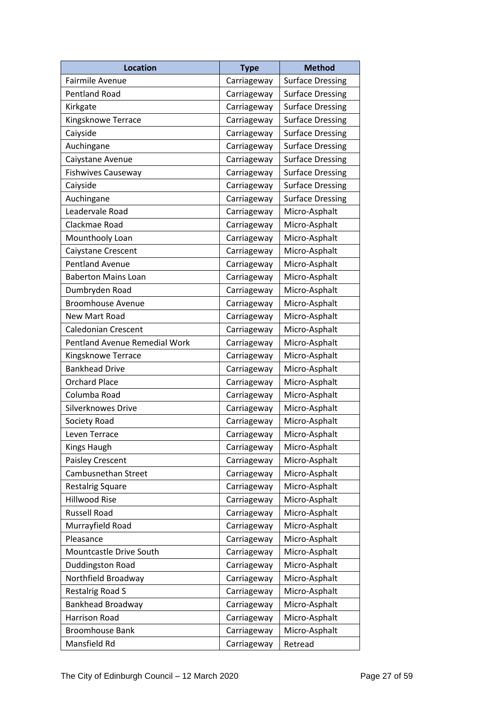| <b>Location</b>               | <b>Type</b> | <b>Method</b>           |
|-------------------------------|-------------|-------------------------|
| Fairmile Avenue               | Carriageway | <b>Surface Dressing</b> |
| <b>Pentland Road</b>          | Carriageway | <b>Surface Dressing</b> |
| Kirkgate                      | Carriageway | <b>Surface Dressing</b> |
| Kingsknowe Terrace            | Carriageway | <b>Surface Dressing</b> |
| Caiyside                      | Carriageway | <b>Surface Dressing</b> |
| Auchingane                    | Carriageway | <b>Surface Dressing</b> |
| Caiystane Avenue              | Carriageway | <b>Surface Dressing</b> |
| <b>Fishwives Causeway</b>     | Carriageway | <b>Surface Dressing</b> |
| Caiyside                      | Carriageway | <b>Surface Dressing</b> |
| Auchingane                    | Carriageway | <b>Surface Dressing</b> |
| Leadervale Road               | Carriageway | Micro-Asphalt           |
| Clackmae Road                 | Carriageway | Micro-Asphalt           |
| Mounthooly Loan               | Carriageway | Micro-Asphalt           |
| Caiystane Crescent            | Carriageway | Micro-Asphalt           |
| <b>Pentland Avenue</b>        | Carriageway | Micro-Asphalt           |
| <b>Baberton Mains Loan</b>    | Carriageway | Micro-Asphalt           |
| Dumbryden Road                | Carriageway | Micro-Asphalt           |
| <b>Broomhouse Avenue</b>      | Carriageway | Micro-Asphalt           |
| New Mart Road                 | Carriageway | Micro-Asphalt           |
| <b>Caledonian Crescent</b>    | Carriageway | Micro-Asphalt           |
| Pentland Avenue Remedial Work | Carriageway | Micro-Asphalt           |
| Kingsknowe Terrace            | Carriageway | Micro-Asphalt           |
| <b>Bankhead Drive</b>         | Carriageway | Micro-Asphalt           |
| <b>Orchard Place</b>          | Carriageway | Micro-Asphalt           |
| Columba Road                  | Carriageway | Micro-Asphalt           |
| Silverknowes Drive            | Carriageway | Micro-Asphalt           |
| Society Road                  | Carriageway | Micro-Asphalt           |
| Leven Terrace                 | Carriageway | Micro-Asphalt           |
| Kings Haugh                   | Carriageway | Micro-Asphalt           |
| Paisley Crescent              | Carriageway | Micro-Asphalt           |
| Cambusnethan Street           | Carriageway | Micro-Asphalt           |
| <b>Restalrig Square</b>       | Carriageway | Micro-Asphalt           |
| <b>Hillwood Rise</b>          | Carriageway | Micro-Asphalt           |
| <b>Russell Road</b>           | Carriageway | Micro-Asphalt           |
| Murrayfield Road              | Carriageway | Micro-Asphalt           |
| Pleasance                     | Carriageway | Micro-Asphalt           |
| Mountcastle Drive South       | Carriageway | Micro-Asphalt           |
| Duddingston Road              | Carriageway | Micro-Asphalt           |
| Northfield Broadway           | Carriageway | Micro-Asphalt           |
| <b>Restalrig Road S</b>       | Carriageway | Micro-Asphalt           |
| <b>Bankhead Broadway</b>      | Carriageway | Micro-Asphalt           |
| Harrison Road                 | Carriageway | Micro-Asphalt           |
| <b>Broomhouse Bank</b>        | Carriageway | Micro-Asphalt           |
| Mansfield Rd                  | Carriageway | Retread                 |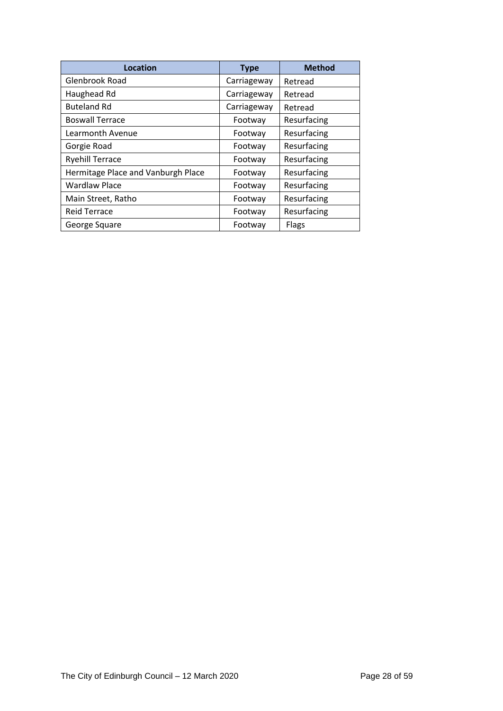| Location                           | <b>Type</b> | <b>Method</b> |
|------------------------------------|-------------|---------------|
| Glenbrook Road                     | Carriageway | Retread       |
| Haughead Rd                        | Carriageway | Retread       |
| <b>Buteland Rd</b>                 | Carriageway | Retread       |
| <b>Boswall Terrace</b>             | Footway     | Resurfacing   |
| Learmonth Avenue                   | Footway     | Resurfacing   |
| Gorgie Road                        | Footway     | Resurfacing   |
| <b>Ryehill Terrace</b>             | Footway     | Resurfacing   |
| Hermitage Place and Vanburgh Place | Footway     | Resurfacing   |
| <b>Wardlaw Place</b>               | Footway     | Resurfacing   |
| Main Street, Ratho                 | Footway     | Resurfacing   |
| <b>Reid Terrace</b>                | Footway     | Resurfacing   |
| George Square                      | Footway     | Flags         |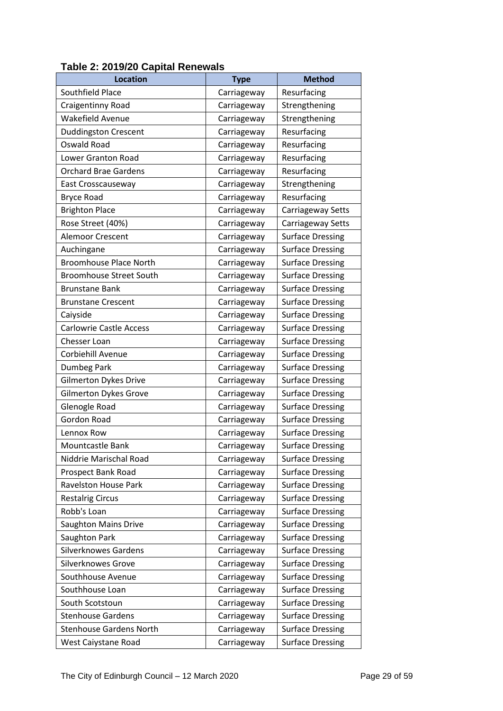| <b>Location</b>                | <b>Type</b> | <b>Method</b>           |
|--------------------------------|-------------|-------------------------|
| Southfield Place               | Carriageway | Resurfacing             |
| Craigentinny Road              | Carriageway | Strengthening           |
| <b>Wakefield Avenue</b>        | Carriageway | Strengthening           |
| <b>Duddingston Crescent</b>    | Carriageway | Resurfacing             |
| Oswald Road                    | Carriageway | Resurfacing             |
| Lower Granton Road             | Carriageway | Resurfacing             |
| <b>Orchard Brae Gardens</b>    | Carriageway | Resurfacing             |
| East Crosscauseway             | Carriageway | Strengthening           |
| <b>Bryce Road</b>              | Carriageway | Resurfacing             |
| <b>Brighton Place</b>          | Carriageway | Carriageway Setts       |
| Rose Street (40%)              | Carriageway | Carriageway Setts       |
| Alemoor Crescent               | Carriageway | <b>Surface Dressing</b> |
| Auchingane                     | Carriageway | <b>Surface Dressing</b> |
| <b>Broomhouse Place North</b>  | Carriageway | <b>Surface Dressing</b> |
| <b>Broomhouse Street South</b> | Carriageway | <b>Surface Dressing</b> |
| <b>Brunstane Bank</b>          | Carriageway | <b>Surface Dressing</b> |
| <b>Brunstane Crescent</b>      | Carriageway | <b>Surface Dressing</b> |
| Caiyside                       | Carriageway | <b>Surface Dressing</b> |
| <b>Carlowrie Castle Access</b> | Carriageway | <b>Surface Dressing</b> |
| Chesser Loan                   | Carriageway | <b>Surface Dressing</b> |
| Corbiehill Avenue              | Carriageway | <b>Surface Dressing</b> |
| Dumbeg Park                    | Carriageway | <b>Surface Dressing</b> |
| <b>Gilmerton Dykes Drive</b>   | Carriageway | <b>Surface Dressing</b> |
| <b>Gilmerton Dykes Grove</b>   | Carriageway | <b>Surface Dressing</b> |
| Glenogle Road                  | Carriageway | <b>Surface Dressing</b> |
| <b>Gordon Road</b>             | Carriageway | <b>Surface Dressing</b> |
| Lennox Row                     | Carriageway | <b>Surface Dressing</b> |
| <b>Mountcastle Bank</b>        | Carriageway | <b>Surface Dressing</b> |
| Niddrie Marischal Road         | Carriageway | <b>Surface Dressing</b> |
| Prospect Bank Road             | Carriageway | <b>Surface Dressing</b> |
| <b>Ravelston House Park</b>    | Carriageway | <b>Surface Dressing</b> |
| <b>Restalrig Circus</b>        | Carriageway | <b>Surface Dressing</b> |
| Robb's Loan                    | Carriageway | <b>Surface Dressing</b> |
| Saughton Mains Drive           | Carriageway | <b>Surface Dressing</b> |
| Saughton Park                  | Carriageway | <b>Surface Dressing</b> |
| <b>Silverknowes Gardens</b>    | Carriageway | <b>Surface Dressing</b> |
| <b>Silverknowes Grove</b>      | Carriageway | <b>Surface Dressing</b> |
| Southhouse Avenue              | Carriageway | <b>Surface Dressing</b> |
| Southhouse Loan                | Carriageway | <b>Surface Dressing</b> |
| South Scotstoun                | Carriageway | <b>Surface Dressing</b> |
| <b>Stenhouse Gardens</b>       | Carriageway | <b>Surface Dressing</b> |
| <b>Stenhouse Gardens North</b> | Carriageway | <b>Surface Dressing</b> |
| West Caiystane Road            | Carriageway | <b>Surface Dressing</b> |

## **Table 2: 2019/20 Capital Renewals**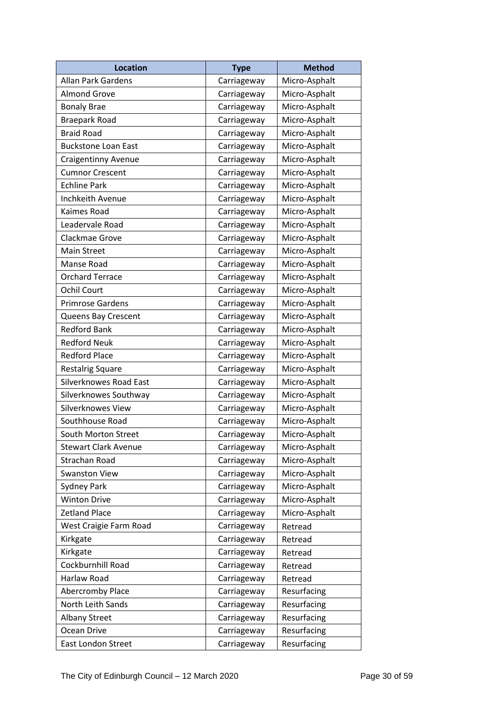| <b>Location</b>             | <b>Type</b> | <b>Method</b> |
|-----------------------------|-------------|---------------|
| Allan Park Gardens          | Carriageway | Micro-Asphalt |
| <b>Almond Grove</b>         | Carriageway | Micro-Asphalt |
| <b>Bonaly Brae</b>          | Carriageway | Micro-Asphalt |
| <b>Braepark Road</b>        | Carriageway | Micro-Asphalt |
| <b>Braid Road</b>           | Carriageway | Micro-Asphalt |
| <b>Buckstone Loan East</b>  | Carriageway | Micro-Asphalt |
| <b>Craigentinny Avenue</b>  | Carriageway | Micro-Asphalt |
| <b>Cumnor Crescent</b>      | Carriageway | Micro-Asphalt |
| <b>Echline Park</b>         | Carriageway | Micro-Asphalt |
| Inchkeith Avenue            | Carriageway | Micro-Asphalt |
| Kaimes Road                 | Carriageway | Micro-Asphalt |
| Leadervale Road             | Carriageway | Micro-Asphalt |
| Clackmae Grove              | Carriageway | Micro-Asphalt |
| Main Street                 | Carriageway | Micro-Asphalt |
| Manse Road                  | Carriageway | Micro-Asphalt |
| <b>Orchard Terrace</b>      | Carriageway | Micro-Asphalt |
| <b>Ochil Court</b>          | Carriageway | Micro-Asphalt |
| <b>Primrose Gardens</b>     | Carriageway | Micro-Asphalt |
| Queens Bay Crescent         | Carriageway | Micro-Asphalt |
| <b>Redford Bank</b>         | Carriageway | Micro-Asphalt |
| <b>Redford Neuk</b>         | Carriageway | Micro-Asphalt |
| <b>Redford Place</b>        | Carriageway | Micro-Asphalt |
| Restalrig Square            | Carriageway | Micro-Asphalt |
| Silverknowes Road East      | Carriageway | Micro-Asphalt |
| Silverknowes Southway       | Carriageway | Micro-Asphalt |
| Silverknowes View           | Carriageway | Micro-Asphalt |
| Southhouse Road             | Carriageway | Micro-Asphalt |
| South Morton Street         | Carriageway | Micro-Asphalt |
| <b>Stewart Clark Avenue</b> | Carriageway | Micro-Asphalt |
| Strachan Road               | Carriageway | Micro-Asphalt |
| <b>Swanston View</b>        | Carriageway | Micro-Asphalt |
| Sydney Park                 | Carriageway | Micro-Asphalt |
| <b>Winton Drive</b>         | Carriageway | Micro-Asphalt |
| <b>Zetland Place</b>        | Carriageway | Micro-Asphalt |
| West Craigie Farm Road      | Carriageway | Retread       |
| Kirkgate                    | Carriageway | Retread       |
| Kirkgate                    | Carriageway | Retread       |
| Cockburnhill Road           | Carriageway | Retread       |
| Harlaw Road                 | Carriageway | Retread       |
| Abercromby Place            | Carriageway | Resurfacing   |
| North Leith Sands           | Carriageway | Resurfacing   |
| <b>Albany Street</b>        | Carriageway | Resurfacing   |
| Ocean Drive                 | Carriageway | Resurfacing   |
| <b>East London Street</b>   | Carriageway | Resurfacing   |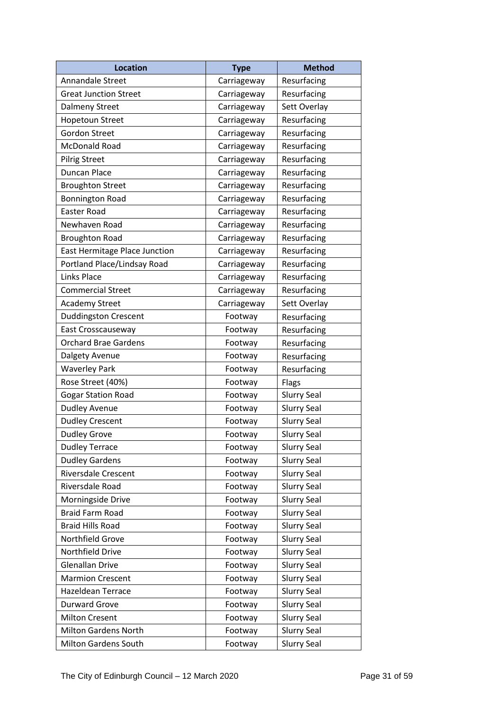| <b>Location</b>               | <b>Type</b> | <b>Method</b>      |
|-------------------------------|-------------|--------------------|
| Annandale Street              | Carriageway | Resurfacing        |
| <b>Great Junction Street</b>  | Carriageway | Resurfacing        |
| <b>Dalmeny Street</b>         | Carriageway | Sett Overlay       |
| <b>Hopetoun Street</b>        | Carriageway | Resurfacing        |
| <b>Gordon Street</b>          | Carriageway | Resurfacing        |
| McDonald Road                 | Carriageway | Resurfacing        |
| <b>Pilrig Street</b>          | Carriageway | Resurfacing        |
| <b>Duncan Place</b>           | Carriageway | Resurfacing        |
| <b>Broughton Street</b>       | Carriageway | Resurfacing        |
| <b>Bonnington Road</b>        | Carriageway | Resurfacing        |
| Easter Road                   | Carriageway | Resurfacing        |
| Newhaven Road                 | Carriageway | Resurfacing        |
| <b>Broughton Road</b>         | Carriageway | Resurfacing        |
| East Hermitage Place Junction | Carriageway | Resurfacing        |
| Portland Place/Lindsay Road   | Carriageway | Resurfacing        |
| Links Place                   | Carriageway | Resurfacing        |
| <b>Commercial Street</b>      | Carriageway | Resurfacing        |
| <b>Academy Street</b>         | Carriageway | Sett Overlay       |
| <b>Duddingston Crescent</b>   | Footway     | Resurfacing        |
| East Crosscauseway            | Footway     | Resurfacing        |
| <b>Orchard Brae Gardens</b>   | Footway     | Resurfacing        |
| Dalgety Avenue                | Footway     | Resurfacing        |
| <b>Waverley Park</b>          | Footway     | Resurfacing        |
| Rose Street (40%)             | Footway     | Flags              |
| <b>Gogar Station Road</b>     | Footway     | <b>Slurry Seal</b> |
| <b>Dudley Avenue</b>          | Footway     | <b>Slurry Seal</b> |
| <b>Dudley Crescent</b>        | Footway     | <b>Slurry Seal</b> |
| <b>Dudley Grove</b>           | Footway     | <b>Slurry Seal</b> |
| <b>Dudley Terrace</b>         | Footway     | <b>Slurry Seal</b> |
| <b>Dudley Gardens</b>         | Footway     | <b>Slurry Seal</b> |
| <b>Riversdale Crescent</b>    | Footway     | <b>Slurry Seal</b> |
| Riversdale Road               | Footway     | <b>Slurry Seal</b> |
| Morningside Drive             | Footway     | <b>Slurry Seal</b> |
| <b>Braid Farm Road</b>        | Footway     | <b>Slurry Seal</b> |
| <b>Braid Hills Road</b>       | Footway     | <b>Slurry Seal</b> |
| Northfield Grove              | Footway     | <b>Slurry Seal</b> |
| Northfield Drive              | Footway     | <b>Slurry Seal</b> |
| Glenallan Drive               | Footway     | <b>Slurry Seal</b> |
| <b>Marmion Crescent</b>       | Footway     | <b>Slurry Seal</b> |
| Hazeldean Terrace             | Footway     | <b>Slurry Seal</b> |
| <b>Durward Grove</b>          | Footway     | <b>Slurry Seal</b> |
| <b>Milton Cresent</b>         | Footway     | <b>Slurry Seal</b> |
| <b>Milton Gardens North</b>   | Footway     | <b>Slurry Seal</b> |
| <b>Milton Gardens South</b>   | Footway     | <b>Slurry Seal</b> |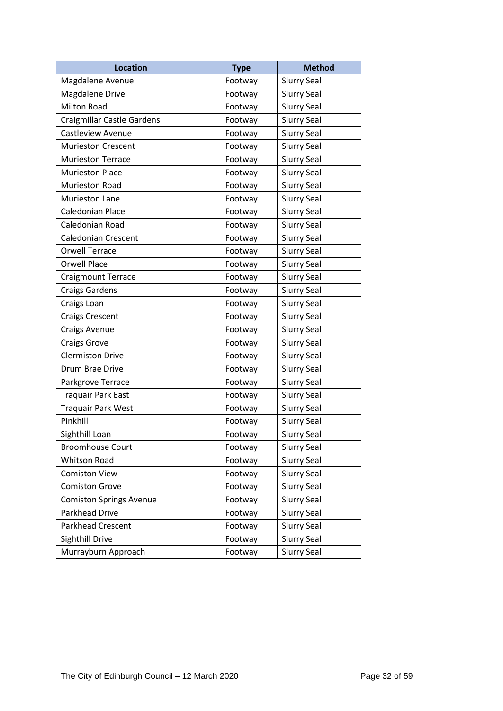| <b>Location</b>                   | <b>Type</b> | <b>Method</b>      |
|-----------------------------------|-------------|--------------------|
| Magdalene Avenue                  | Footway     | <b>Slurry Seal</b> |
| <b>Magdalene Drive</b>            | Footway     | <b>Slurry Seal</b> |
| <b>Milton Road</b>                | Footway     | <b>Slurry Seal</b> |
| <b>Craigmillar Castle Gardens</b> | Footway     | <b>Slurry Seal</b> |
| <b>Castleview Avenue</b>          | Footway     | <b>Slurry Seal</b> |
| <b>Murieston Crescent</b>         | Footway     | <b>Slurry Seal</b> |
| <b>Murieston Terrace</b>          | Footway     | <b>Slurry Seal</b> |
| <b>Murieston Place</b>            | Footway     | <b>Slurry Seal</b> |
| Murieston Road                    | Footway     | <b>Slurry Seal</b> |
| <b>Murieston Lane</b>             | Footway     | <b>Slurry Seal</b> |
| Caledonian Place                  | Footway     | <b>Slurry Seal</b> |
| Caledonian Road                   | Footway     | <b>Slurry Seal</b> |
| <b>Caledonian Crescent</b>        | Footway     | <b>Slurry Seal</b> |
| <b>Orwell Terrace</b>             | Footway     | <b>Slurry Seal</b> |
| <b>Orwell Place</b>               | Footway     | <b>Slurry Seal</b> |
| <b>Craigmount Terrace</b>         | Footway     | <b>Slurry Seal</b> |
| <b>Craigs Gardens</b>             | Footway     | <b>Slurry Seal</b> |
| Craigs Loan                       | Footway     | <b>Slurry Seal</b> |
| <b>Craigs Crescent</b>            | Footway     | <b>Slurry Seal</b> |
| <b>Craigs Avenue</b>              | Footway     | <b>Slurry Seal</b> |
| <b>Craigs Grove</b>               | Footway     | <b>Slurry Seal</b> |
| <b>Clermiston Drive</b>           | Footway     | <b>Slurry Seal</b> |
| Drum Brae Drive                   | Footway     | <b>Slurry Seal</b> |
| Parkgrove Terrace                 | Footway     | <b>Slurry Seal</b> |
| <b>Traquair Park East</b>         | Footway     | <b>Slurry Seal</b> |
| <b>Traquair Park West</b>         | Footway     | <b>Slurry Seal</b> |
| Pinkhill                          | Footway     | <b>Slurry Seal</b> |
| Sighthill Loan                    | Footway     | <b>Slurry Seal</b> |
| <b>Broomhouse Court</b>           | Footway     | <b>Slurry Seal</b> |
| Whitson Road                      | Footway     | <b>Slurry Seal</b> |
| <b>Comiston View</b>              | Footway     | <b>Slurry Seal</b> |
| <b>Comiston Grove</b>             | Footway     | <b>Slurry Seal</b> |
| <b>Comiston Springs Avenue</b>    | Footway     | <b>Slurry Seal</b> |
| Parkhead Drive                    | Footway     | <b>Slurry Seal</b> |
| Parkhead Crescent                 | Footway     | <b>Slurry Seal</b> |
| Sighthill Drive                   | Footway     | <b>Slurry Seal</b> |
| Murrayburn Approach               | Footway     | <b>Slurry Seal</b> |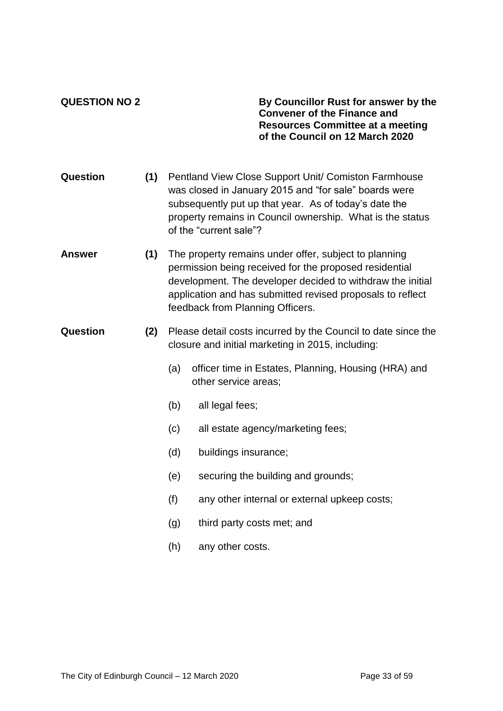**QUESTION NO 2 By Councillor Rust for answer by the Convener of the Finance and Resources Committee at a meeting of the Council on 12 March 2020**

- **Question (1)** Pentland View Close Support Unit/ Comiston Farmhouse was closed in January 2015 and "for sale" boards were subsequently put up that year. As of today's date the property remains in Council ownership. What is the status of the "current sale"?
- **Answer (1)** The property remains under offer, subject to planning permission being received for the proposed residential development. The developer decided to withdraw the initial application and has submitted revised proposals to reflect feedback from Planning Officers.
- **Question (2)** Please detail costs incurred by the Council to date since the closure and initial marketing in 2015, including:
	- (a) officer time in Estates, Planning, Housing (HRA) and other service areas;
	- (b) all legal fees;
	- (c) all estate agency/marketing fees;
	- (d) buildings insurance;
	- (e) securing the building and grounds;
	- (f) any other internal or external upkeep costs;
	- (g) third party costs met; and
	- (h) any other costs.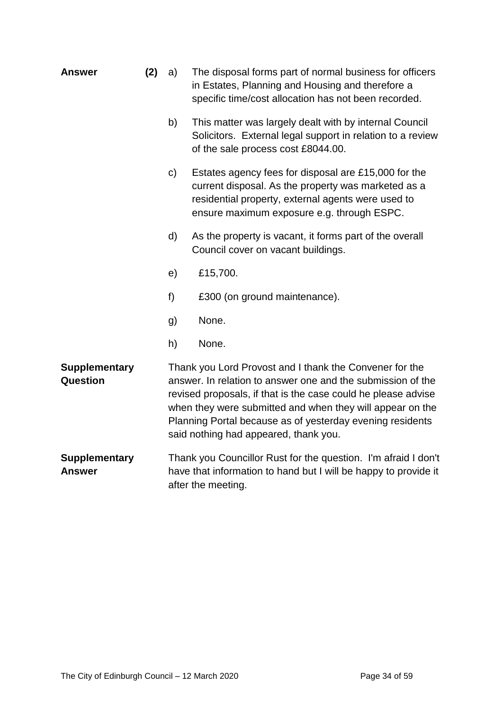| <b>Answer</b>                           | (2) | a)           | The disposal forms part of normal business for officers<br>in Estates, Planning and Housing and therefore a<br>specific time/cost allocation has not been recorded.                                                                                                                                                                                        |
|-----------------------------------------|-----|--------------|------------------------------------------------------------------------------------------------------------------------------------------------------------------------------------------------------------------------------------------------------------------------------------------------------------------------------------------------------------|
|                                         |     | b)           | This matter was largely dealt with by internal Council<br>Solicitors. External legal support in relation to a review<br>of the sale process cost £8044.00.                                                                                                                                                                                                 |
|                                         |     | $\mathsf{c}$ | Estates agency fees for disposal are £15,000 for the<br>current disposal. As the property was marketed as a<br>residential property, external agents were used to<br>ensure maximum exposure e.g. through ESPC.                                                                                                                                            |
|                                         |     | d)           | As the property is vacant, it forms part of the overall<br>Council cover on vacant buildings.                                                                                                                                                                                                                                                              |
|                                         |     | e)           | £15,700.                                                                                                                                                                                                                                                                                                                                                   |
|                                         |     | f)           | £300 (on ground maintenance).                                                                                                                                                                                                                                                                                                                              |
|                                         |     | g)           | None.                                                                                                                                                                                                                                                                                                                                                      |
|                                         |     | h)           | None.                                                                                                                                                                                                                                                                                                                                                      |
| <b>Supplementary</b><br><b>Question</b> |     |              | Thank you Lord Provost and I thank the Convener for the<br>answer. In relation to answer one and the submission of the<br>revised proposals, if that is the case could he please advise<br>when they were submitted and when they will appear on the<br>Planning Portal because as of yesterday evening residents<br>said nothing had appeared, thank you. |
| <b>Supplementary</b><br><b>Answer</b>   |     |              | Thank you Councillor Rust for the question. I'm afraid I don't<br>have that information to hand but I will be happy to provide it<br>after the meeting.                                                                                                                                                                                                    |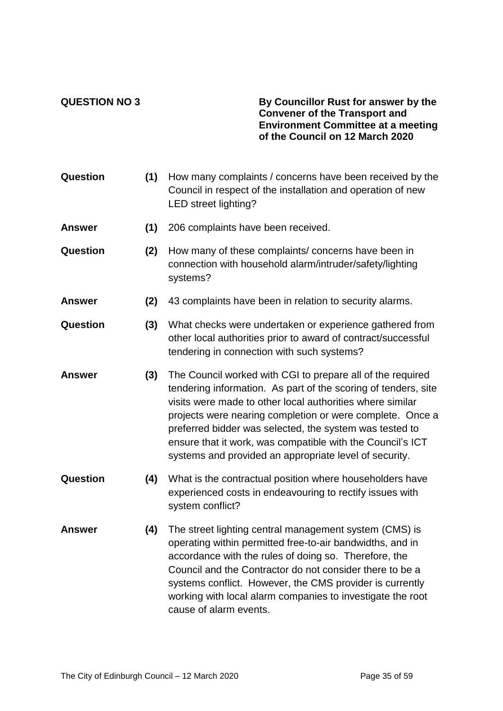#### **QUESTION NO 3 By Councillor Rust for answer by the Convener of the Transport and Environment Committee at a meeting of the Council on 12 March 2020**

| Question      | (1) | How many complaints / concerns have been received by the<br>Council in respect of the installation and operation of new<br>LED street lighting?                                                                                                                                                                                                                                                                                           |
|---------------|-----|-------------------------------------------------------------------------------------------------------------------------------------------------------------------------------------------------------------------------------------------------------------------------------------------------------------------------------------------------------------------------------------------------------------------------------------------|
| <b>Answer</b> | (1) | 206 complaints have been received.                                                                                                                                                                                                                                                                                                                                                                                                        |
| Question      | (2) | How many of these complaints/ concerns have been in<br>connection with household alarm/intruder/safety/lighting<br>systems?                                                                                                                                                                                                                                                                                                               |
| <b>Answer</b> | (2) | 43 complaints have been in relation to security alarms.                                                                                                                                                                                                                                                                                                                                                                                   |
| Question      | (3) | What checks were undertaken or experience gathered from<br>other local authorities prior to award of contract/successful<br>tendering in connection with such systems?                                                                                                                                                                                                                                                                    |
| <b>Answer</b> | (3) | The Council worked with CGI to prepare all of the required<br>tendering information. As part of the scoring of tenders, site<br>visits were made to other local authorities where similar<br>projects were nearing completion or were complete. Once a<br>preferred bidder was selected, the system was tested to<br>ensure that it work, was compatible with the Council's ICT<br>systems and provided an appropriate level of security. |
| Question      | (4) | What is the contractual position where householders have<br>experienced costs in endeavouring to rectify issues with<br>system conflict?                                                                                                                                                                                                                                                                                                  |
| <b>Answer</b> | (4) | The street lighting central management system (CMS) is<br>operating within permitted free-to-air bandwidths, and in<br>accordance with the rules of doing so. Therefore, the<br>Council and the Contractor do not consider there to be a<br>systems conflict. However, the CMS provider is currently<br>working with local alarm companies to investigate the root<br>cause of alarm events.                                              |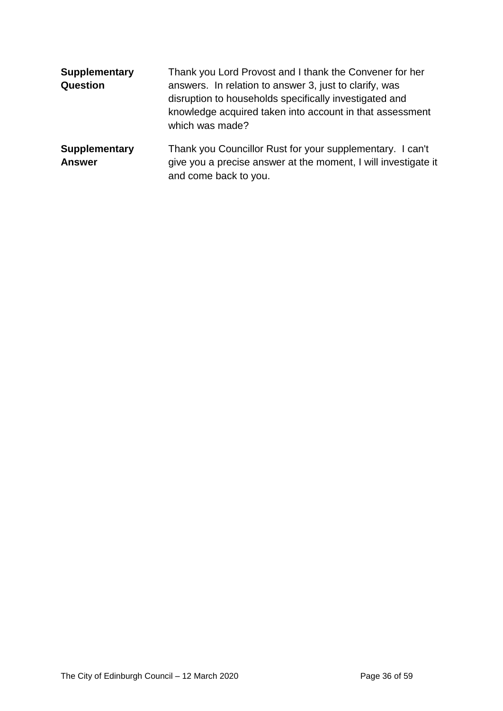| <b>Supplementary</b><br>Question      | Thank you Lord Provost and I thank the Convener for her<br>answers. In relation to answer 3, just to clarify, was<br>disruption to households specifically investigated and<br>knowledge acquired taken into account in that assessment<br>which was made? |
|---------------------------------------|------------------------------------------------------------------------------------------------------------------------------------------------------------------------------------------------------------------------------------------------------------|
| <b>Supplementary</b><br><b>Answer</b> | Thank you Councillor Rust for your supplementary. I can't<br>give you a precise answer at the moment, I will investigate it<br>and come back to you.                                                                                                       |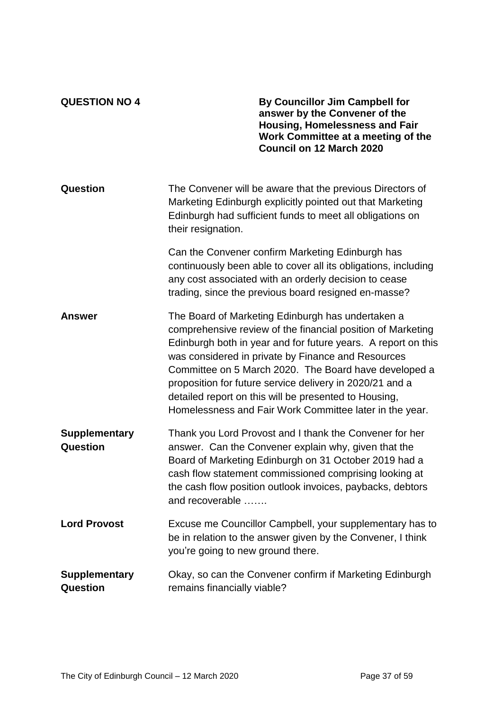| <b>QUESTION NO 4</b>             | By Councillor Jim Campbell for<br>answer by the Convener of the<br><b>Housing, Homelessness and Fair</b><br>Work Committee at a meeting of the<br><b>Council on 12 March 2020</b>                                                                                                                                                                                                                                                                                                |
|----------------------------------|----------------------------------------------------------------------------------------------------------------------------------------------------------------------------------------------------------------------------------------------------------------------------------------------------------------------------------------------------------------------------------------------------------------------------------------------------------------------------------|
| Question                         | The Convener will be aware that the previous Directors of<br>Marketing Edinburgh explicitly pointed out that Marketing<br>Edinburgh had sufficient funds to meet all obligations on<br>their resignation.                                                                                                                                                                                                                                                                        |
|                                  | Can the Convener confirm Marketing Edinburgh has<br>continuously been able to cover all its obligations, including<br>any cost associated with an orderly decision to cease<br>trading, since the previous board resigned en-masse?                                                                                                                                                                                                                                              |
| <b>Answer</b>                    | The Board of Marketing Edinburgh has undertaken a<br>comprehensive review of the financial position of Marketing<br>Edinburgh both in year and for future years. A report on this<br>was considered in private by Finance and Resources<br>Committee on 5 March 2020. The Board have developed a<br>proposition for future service delivery in 2020/21 and a<br>detailed report on this will be presented to Housing,<br>Homelessness and Fair Work Committee later in the year. |
| <b>Supplementary</b><br>Question | Thank you Lord Provost and I thank the Convener for her<br>answer. Can the Convener explain why, given that the<br>Board of Marketing Edinburgh on 31 October 2019 had a<br>cash flow statement commissioned comprising looking at<br>the cash flow position outlook invoices, paybacks, debtors<br>and recoverable                                                                                                                                                              |
| <b>Lord Provost</b>              | Excuse me Councillor Campbell, your supplementary has to<br>be in relation to the answer given by the Convener, I think<br>you're going to new ground there.                                                                                                                                                                                                                                                                                                                     |
| <b>Supplementary</b><br>Question | Okay, so can the Convener confirm if Marketing Edinburgh<br>remains financially viable?                                                                                                                                                                                                                                                                                                                                                                                          |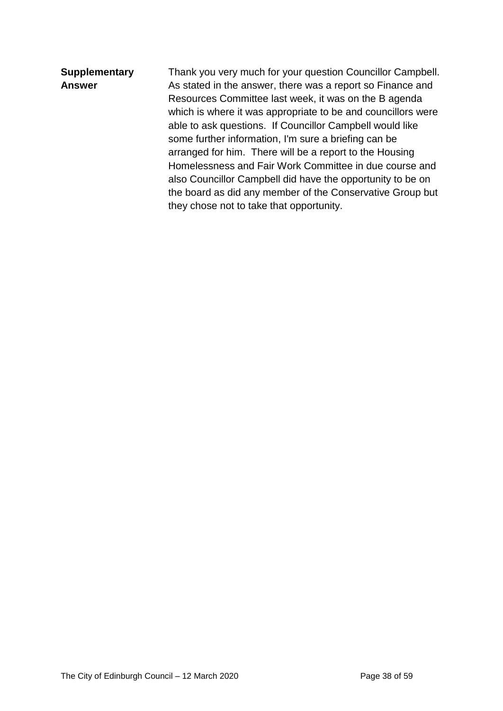| Thank you very much for your question Councillor Campbell.   |
|--------------------------------------------------------------|
| As stated in the answer, there was a report so Finance and   |
| Resources Committee last week, it was on the B agenda        |
| which is where it was appropriate to be and councillors were |
| able to ask questions. If Councillor Campbell would like     |
|                                                              |
| arranged for him. There will be a report to the Housing      |
| Homelessness and Fair Work Committee in due course and       |
| also Councillor Campbell did have the opportunity to be on   |
| the board as did any member of the Conservative Group but    |
|                                                              |
|                                                              |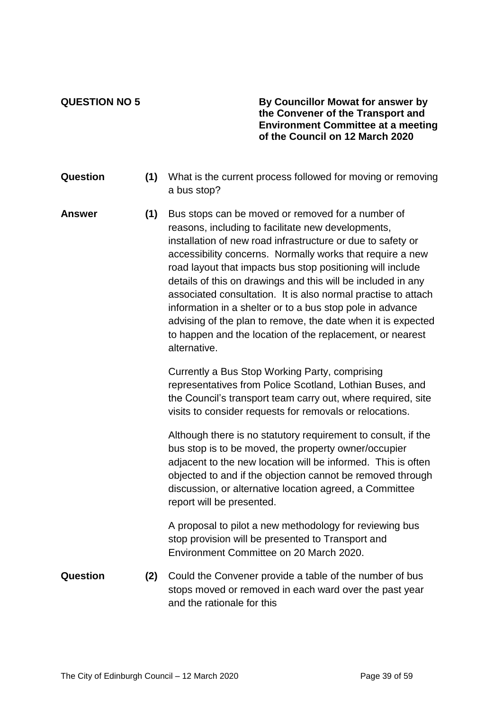**QUESTION NO 5 By Councillor Mowat for answer by the Convener of the Transport and Environment Committee at a meeting of the Council on 12 March 2020**

- **Question (1)** What is the current process followed for moving or removing a bus stop?
- **Answer (1)** Bus stops can be moved or removed for a number of reasons, including to facilitate new developments, installation of new road infrastructure or due to safety or accessibility concerns. Normally works that require a new road layout that impacts bus stop positioning will include details of this on drawings and this will be included in any associated consultation. It is also normal practise to attach information in a shelter or to a bus stop pole in advance advising of the plan to remove, the date when it is expected to happen and the location of the replacement, or nearest alternative.

Currently a Bus Stop Working Party, comprising representatives from Police Scotland, Lothian Buses, and the Council's transport team carry out, where required, site visits to consider requests for removals or relocations.

Although there is no statutory requirement to consult, if the bus stop is to be moved, the property owner/occupier adjacent to the new location will be informed. This is often objected to and if the objection cannot be removed through discussion, or alternative location agreed, a Committee report will be presented.

A proposal to pilot a new methodology for reviewing bus stop provision will be presented to Transport and Environment Committee on 20 March 2020.

**Question (2)** Could the Convener provide a table of the number of bus stops moved or removed in each ward over the past year and the rationale for this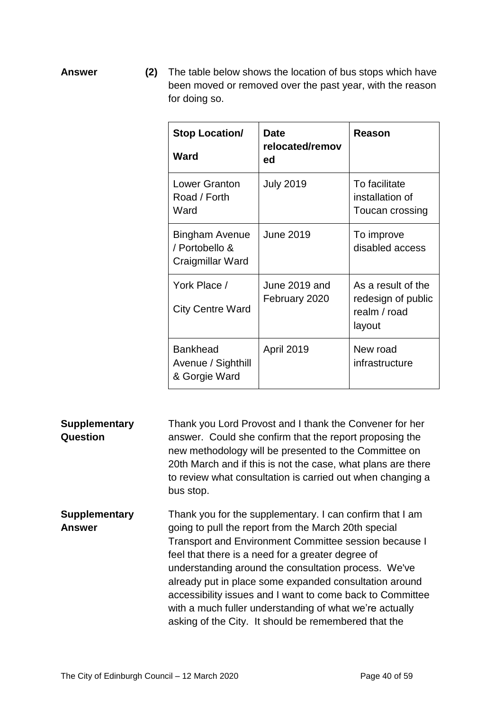**Answer (2)** The table below shows the location of bus stops which have been moved or removed over the past year, with the reason for doing so.

| <b>Stop Location/</b><br><b>Ward</b>                   | Date<br>relocated/remov<br>ed  | Reason                                                             |
|--------------------------------------------------------|--------------------------------|--------------------------------------------------------------------|
| <b>Lower Granton</b><br>Road / Forth<br>Ward           | <b>July 2019</b>               | To facilitate<br>installation of<br>Toucan crossing                |
| Bingham Avenue<br>/ Portobello &<br>Craigmillar Ward   | <b>June 2019</b>               | To improve<br>disabled access                                      |
| York Place /<br><b>City Centre Ward</b>                | June 2019 and<br>February 2020 | As a result of the<br>redesign of public<br>realm / road<br>layout |
| <b>Bankhead</b><br>Avenue / Sighthill<br>& Gorgie Ward | <b>April 2019</b>              | New road<br>infrastructure                                         |

**Supplementary Question** Thank you Lord Provost and I thank the Convener for her answer. Could she confirm that the report proposing the new methodology will be presented to the Committee on 20th March and if this is not the case, what plans are there to review what consultation is carried out when changing a bus stop.

**Supplementary Answer** Thank you for the supplementary. I can confirm that I am going to pull the report from the March 20th special Transport and Environment Committee session because I feel that there is a need for a greater degree of understanding around the consultation process. We've already put in place some expanded consultation around accessibility issues and I want to come back to Committee with a much fuller understanding of what we're actually asking of the City. It should be remembered that the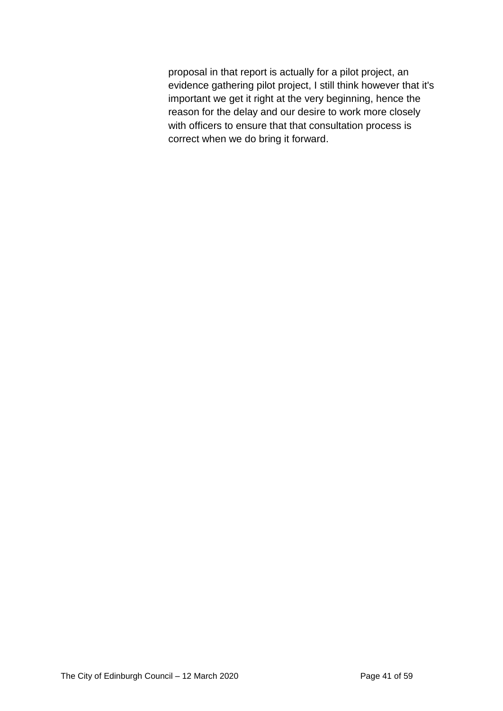proposal in that report is actually for a pilot project, an evidence gathering pilot project, I still think however that it's important we get it right at the very beginning, hence the reason for the delay and our desire to work more closely with officers to ensure that that consultation process is correct when we do bring it forward.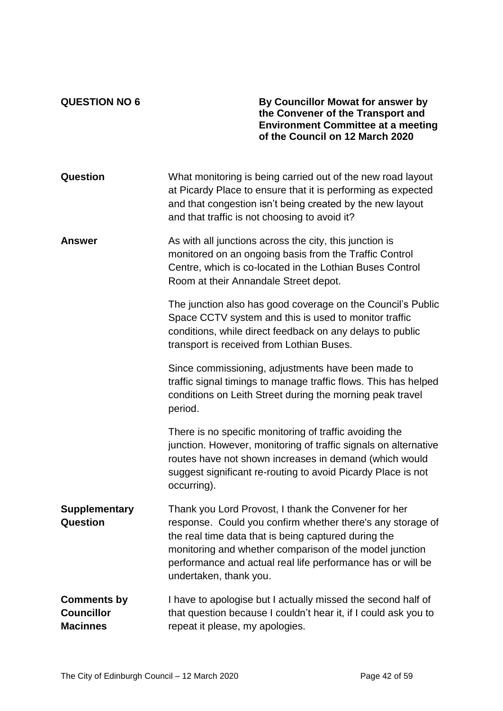**QUESTION NO 6 By Councillor Mowat for answer by the Convener of the Transport and Environment Committee at a meeting of the Council on 12 March 2020**

| Question                                                   | What monitoring is being carried out of the new road layout<br>at Picardy Place to ensure that it is performing as expected<br>and that congestion isn't being created by the new layout<br>and that traffic is not choosing to avoid it?                                                                                      |
|------------------------------------------------------------|--------------------------------------------------------------------------------------------------------------------------------------------------------------------------------------------------------------------------------------------------------------------------------------------------------------------------------|
| <b>Answer</b>                                              | As with all junctions across the city, this junction is<br>monitored on an ongoing basis from the Traffic Control<br>Centre, which is co-located in the Lothian Buses Control<br>Room at their Annandale Street depot.                                                                                                         |
|                                                            | The junction also has good coverage on the Council's Public<br>Space CCTV system and this is used to monitor traffic<br>conditions, while direct feedback on any delays to public<br>transport is received from Lothian Buses.                                                                                                 |
|                                                            | Since commissioning, adjustments have been made to<br>traffic signal timings to manage traffic flows. This has helped<br>conditions on Leith Street during the morning peak travel<br>period.                                                                                                                                  |
|                                                            | There is no specific monitoring of traffic avoiding the<br>junction. However, monitoring of traffic signals on alternative<br>routes have not shown increases in demand (which would<br>suggest significant re-routing to avoid Picardy Place is not<br>occurring).                                                            |
| <b>Supplementary</b><br><b>Question</b>                    | Thank you Lord Provost, I thank the Convener for her<br>response. Could you confirm whether there's any storage of<br>the real time data that is being captured during the<br>monitoring and whether comparison of the model junction<br>performance and actual real life performance has or will be<br>undertaken, thank you. |
| <b>Comments by</b><br><b>Councillor</b><br><b>Macinnes</b> | I have to apologise but I actually missed the second half of<br>that question because I couldn't hear it, if I could ask you to<br>repeat it please, my apologies.                                                                                                                                                             |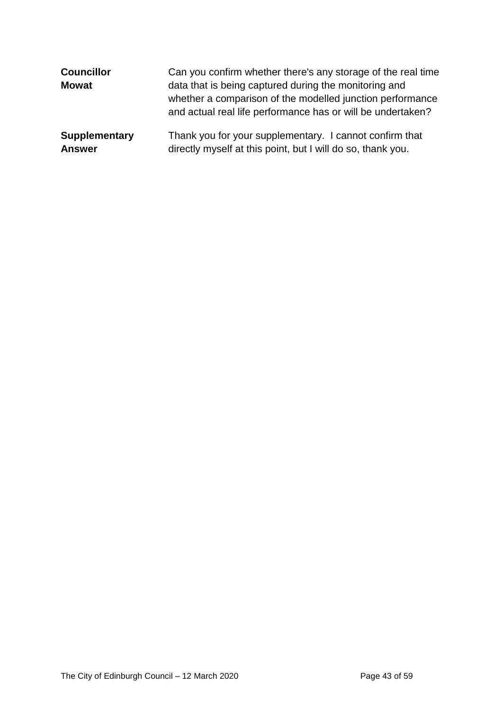| <b>Councillor</b><br><b>Mowat</b> | Can you confirm whether there's any storage of the real time<br>data that is being captured during the monitoring and<br>whether a comparison of the modelled junction performance<br>and actual real life performance has or will be undertaken? |
|-----------------------------------|---------------------------------------------------------------------------------------------------------------------------------------------------------------------------------------------------------------------------------------------------|
| <b>Supplementary</b>              | Thank you for your supplementary. I cannot confirm that                                                                                                                                                                                           |
| <b>Answer</b>                     | directly myself at this point, but I will do so, thank you.                                                                                                                                                                                       |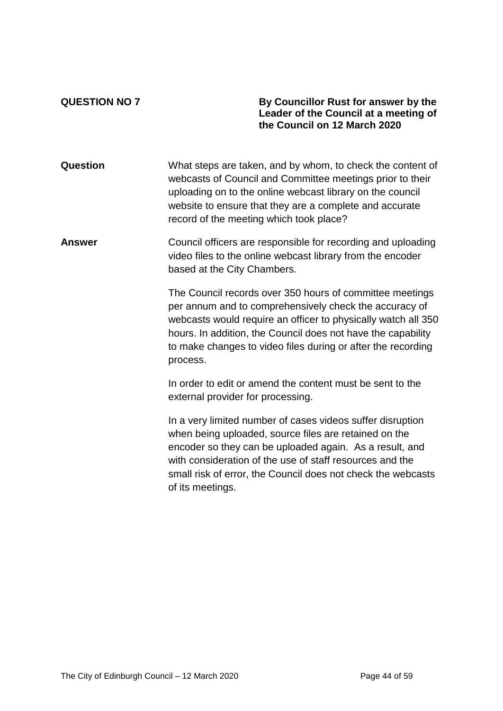#### **QUESTION NO 7 By Councillor Rust for answer by the Leader of the Council at a meeting of the Council on 12 March 2020**

**Question** What steps are taken, and by whom, to check the content of webcasts of Council and Committee meetings prior to their uploading on to the online webcast library on the council website to ensure that they are a complete and accurate record of the meeting which took place?

### **Answer Council officers are responsible for recording and uploading** video files to the online webcast library from the encoder based at the City Chambers.

The Council records over 350 hours of committee meetings per annum and to comprehensively check the accuracy of webcasts would require an officer to physically watch all 350 hours. In addition, the Council does not have the capability to make changes to video files during or after the recording process.

In order to edit or amend the content must be sent to the external provider for processing.

In a very limited number of cases videos suffer disruption when being uploaded, source files are retained on the encoder so they can be uploaded again. As a result, and with consideration of the use of staff resources and the small risk of error, the Council does not check the webcasts of its meetings.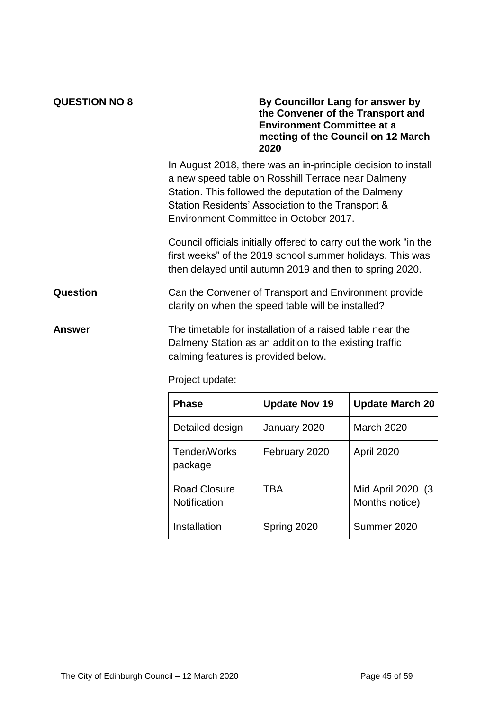| <b>QUESTION NO 8</b> | By Councillor Lang for answer by<br>the Convener of the Transport and<br><b>Environment Committee at a</b><br>meeting of the Council on 12 March<br>2020                                                                                                                   |
|----------------------|----------------------------------------------------------------------------------------------------------------------------------------------------------------------------------------------------------------------------------------------------------------------------|
|                      | In August 2018, there was an in-principle decision to install<br>a new speed table on Rosshill Terrace near Dalmeny<br>Station. This followed the deputation of the Dalmeny<br>Station Residents' Association to the Transport &<br>Environment Committee in October 2017. |
|                      | Council officials initially offered to carry out the work "in the<br>first weeks" of the 2019 school summer holidays. This was<br>then delayed until autumn 2019 and then to spring 2020.                                                                                  |
| Question             | Can the Convener of Transport and Environment provide<br>clarity on when the speed table will be installed?                                                                                                                                                                |
| Answer               | The timetable for installation of a raised table near the<br>Dalmeny Station as an addition to the existing traffic<br>calming features is provided below.                                                                                                                 |

Project update:

| <b>Phase</b>                 | <b>Update Nov 19</b> | <b>Update March 20</b>              |
|------------------------------|----------------------|-------------------------------------|
| Detailed design              | January 2020         | March 2020                          |
| Tender/Works<br>package      | February 2020        | April 2020                          |
| Road Closure<br>Notification | TBA                  | Mid April 2020 (3<br>Months notice) |
| Installation                 | Spring 2020          | Summer 2020                         |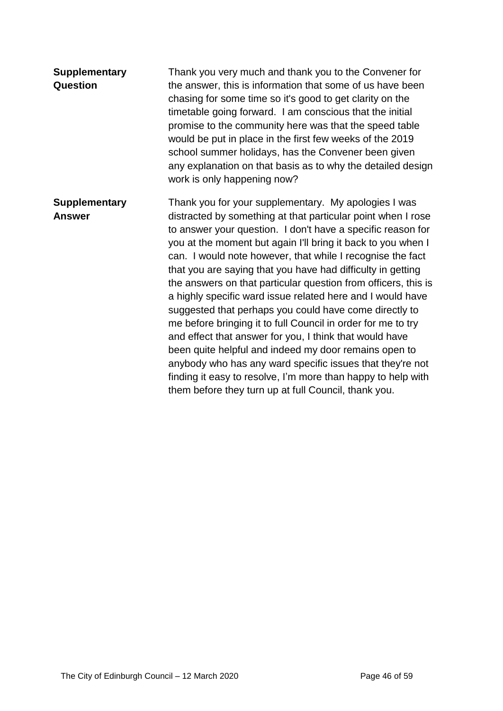| <b>Supplementary</b><br>Question      | Thank you very much and thank you to the Convener for<br>the answer, this is information that some of us have been<br>chasing for some time so it's good to get clarity on the<br>timetable going forward. I am conscious that the initial<br>promise to the community here was that the speed table<br>would be put in place in the first few weeks of the 2019<br>school summer holidays, has the Convener been given<br>any explanation on that basis as to why the detailed design<br>work is only happening now?                                                                                                                                                                                                                                                                                                                                                                                                                               |
|---------------------------------------|-----------------------------------------------------------------------------------------------------------------------------------------------------------------------------------------------------------------------------------------------------------------------------------------------------------------------------------------------------------------------------------------------------------------------------------------------------------------------------------------------------------------------------------------------------------------------------------------------------------------------------------------------------------------------------------------------------------------------------------------------------------------------------------------------------------------------------------------------------------------------------------------------------------------------------------------------------|
| <b>Supplementary</b><br><b>Answer</b> | Thank you for your supplementary. My apologies I was<br>distracted by something at that particular point when I rose<br>to answer your question. I don't have a specific reason for<br>you at the moment but again I'll bring it back to you when I<br>can. I would note however, that while I recognise the fact<br>that you are saying that you have had difficulty in getting<br>the answers on that particular question from officers, this is<br>a highly specific ward issue related here and I would have<br>suggested that perhaps you could have come directly to<br>me before bringing it to full Council in order for me to try<br>and effect that answer for you, I think that would have<br>been quite helpful and indeed my door remains open to<br>anybody who has any ward specific issues that they're not<br>finding it easy to resolve, I'm more than happy to help with<br>them before they turn up at full Council, thank you. |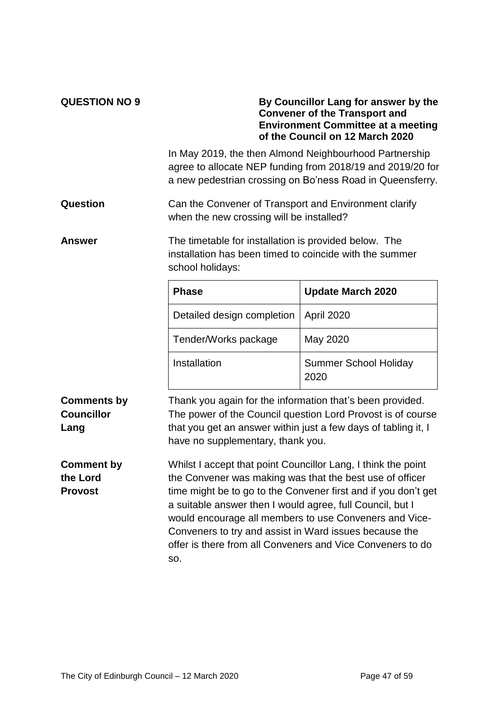| <b>QUESTION NO 9</b>                            | By Councillor Lang for answer by the<br><b>Convener of the Transport and</b><br><b>Environment Committee at a meeting</b><br>of the Council on 12 March 2020                                                                                                                                                                                                                                                                                      |                                      |  |  |  |  |  |  |
|-------------------------------------------------|---------------------------------------------------------------------------------------------------------------------------------------------------------------------------------------------------------------------------------------------------------------------------------------------------------------------------------------------------------------------------------------------------------------------------------------------------|--------------------------------------|--|--|--|--|--|--|
|                                                 | In May 2019, the then Almond Neighbourhood Partnership<br>agree to allocate NEP funding from 2018/19 and 2019/20 for<br>a new pedestrian crossing on Bo'ness Road in Queensferry.                                                                                                                                                                                                                                                                 |                                      |  |  |  |  |  |  |
| Question                                        | Can the Convener of Transport and Environment clarify<br>when the new crossing will be installed?                                                                                                                                                                                                                                                                                                                                                 |                                      |  |  |  |  |  |  |
| Answer                                          | The timetable for installation is provided below. The<br>installation has been timed to coincide with the summer<br>school holidays:                                                                                                                                                                                                                                                                                                              |                                      |  |  |  |  |  |  |
|                                                 | <b>Phase</b>                                                                                                                                                                                                                                                                                                                                                                                                                                      | <b>Update March 2020</b>             |  |  |  |  |  |  |
|                                                 | Detailed design completion                                                                                                                                                                                                                                                                                                                                                                                                                        | April 2020                           |  |  |  |  |  |  |
|                                                 | Tender/Works package                                                                                                                                                                                                                                                                                                                                                                                                                              | May 2020                             |  |  |  |  |  |  |
|                                                 | Installation                                                                                                                                                                                                                                                                                                                                                                                                                                      | <b>Summer School Holiday</b><br>2020 |  |  |  |  |  |  |
| <b>Comments by</b><br><b>Councillor</b><br>Lang | Thank you again for the information that's been provided.<br>The power of the Council question Lord Provost is of course<br>that you get an answer within just a few days of tabling it, I<br>have no supplementary, thank you.                                                                                                                                                                                                                   |                                      |  |  |  |  |  |  |
| <b>Comment by</b><br>the Lord<br><b>Provost</b> | Whilst I accept that point Councillor Lang, I think the point<br>the Convener was making was that the best use of officer<br>time might be to go to the Convener first and if you don't get<br>a suitable answer then I would agree, full Council, but I<br>would encourage all members to use Conveners and Vice-<br>Conveners to try and assist in Ward issues because the<br>offer is there from all Conveners and Vice Conveners to do<br>SO. |                                      |  |  |  |  |  |  |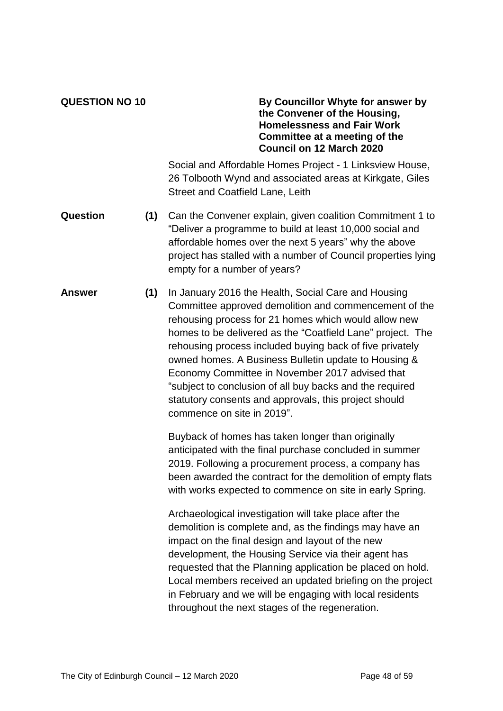#### **QUESTION NO 10 By Councillor Whyte for answer by the Convener of the Housing, Homelessness and Fair Work Committee at a meeting of the Council on 12 March 2020**

Social and Affordable Homes Project - 1 Linksview House, 26 Tolbooth Wynd and associated areas at Kirkgate, Giles Street and Coatfield Lane, Leith

- **Question (1)** Can the Convener explain, given coalition Commitment 1 to "Deliver a programme to build at least 10,000 social and affordable homes over the next 5 years" why the above project has stalled with a number of Council properties lying empty for a number of years?
- **Answer (1)** In January 2016 the Health, Social Care and Housing Committee approved demolition and commencement of the rehousing process for 21 homes which would allow new homes to be delivered as the "Coatfield Lane" project. The rehousing process included buying back of five privately owned homes. A Business Bulletin update to Housing & Economy Committee in November 2017 advised that "subject to conclusion of all buy backs and the required statutory consents and approvals, this project should commence on site in 2019".

Buyback of homes has taken longer than originally anticipated with the final purchase concluded in summer 2019. Following a procurement process, a company has been awarded the contract for the demolition of empty flats with works expected to commence on site in early Spring.

Archaeological investigation will take place after the demolition is complete and, as the findings may have an impact on the final design and layout of the new development, the Housing Service via their agent has requested that the Planning application be placed on hold. Local members received an updated briefing on the project in February and we will be engaging with local residents throughout the next stages of the regeneration.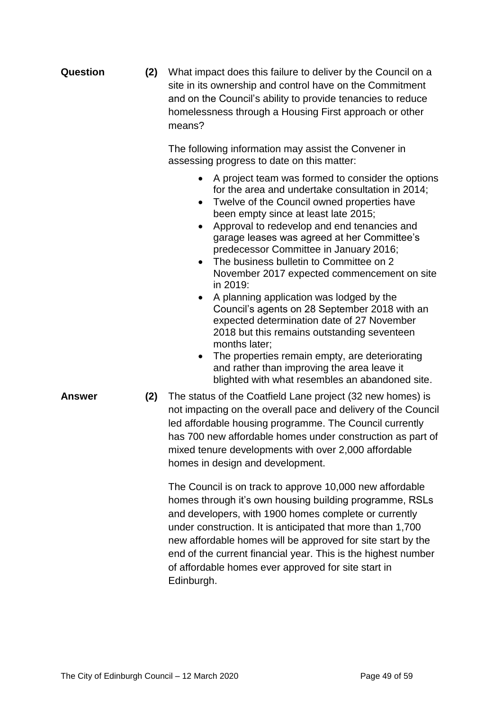| <b>Question</b> | (2) | What impact does this failure to deliver by the Council on a<br>site in its ownership and control have on the Commitment<br>and on the Council's ability to provide tenancies to reduce<br>homelessness through a Housing First approach or other<br>means?                                                                                                                                                                                                                                                                                                                                                                                                                                                                                                                                                                                                        |  |  |  |  |
|-----------------|-----|--------------------------------------------------------------------------------------------------------------------------------------------------------------------------------------------------------------------------------------------------------------------------------------------------------------------------------------------------------------------------------------------------------------------------------------------------------------------------------------------------------------------------------------------------------------------------------------------------------------------------------------------------------------------------------------------------------------------------------------------------------------------------------------------------------------------------------------------------------------------|--|--|--|--|
|                 |     | The following information may assist the Convener in<br>assessing progress to date on this matter:                                                                                                                                                                                                                                                                                                                                                                                                                                                                                                                                                                                                                                                                                                                                                                 |  |  |  |  |
|                 |     | A project team was formed to consider the options<br>$\bullet$<br>for the area and undertake consultation in 2014;<br>Twelve of the Council owned properties have<br>$\bullet$<br>been empty since at least late 2015;<br>Approval to redevelop and end tenancies and<br>٠<br>garage leases was agreed at her Committee's<br>predecessor Committee in January 2016;<br>The business bulletin to Committee on 2<br>$\bullet$<br>November 2017 expected commencement on site<br>in 2019:<br>A planning application was lodged by the<br>$\bullet$<br>Council's agents on 28 September 2018 with an<br>expected determination date of 27 November<br>2018 but this remains outstanding seventeen<br>months later;<br>The properties remain empty, are deteriorating<br>and rather than improving the area leave it<br>blighted with what resembles an abandoned site. |  |  |  |  |
| <b>Answer</b>   | (2) | The status of the Coatfield Lane project (32 new homes) is<br>not impacting on the overall pace and delivery of the Council<br>led affordable housing programme. The Council currently<br>has 700 new affordable homes under construction as part of<br>mixed tenure developments with over 2,000 affordable<br>homes in design and development.                                                                                                                                                                                                                                                                                                                                                                                                                                                                                                                   |  |  |  |  |
|                 |     | The Council is on track to approve 10,000 new affordable<br>homes through it's own housing building programme, RSLs<br>and developers, with 1900 homes complete or currently<br>under construction. It is anticipated that more than 1,700<br>new affordable homes will be approved for site start by the<br>end of the current financial year. This is the highest number<br>of affordable homes ever approved for site start in                                                                                                                                                                                                                                                                                                                                                                                                                                  |  |  |  |  |

Edinburgh.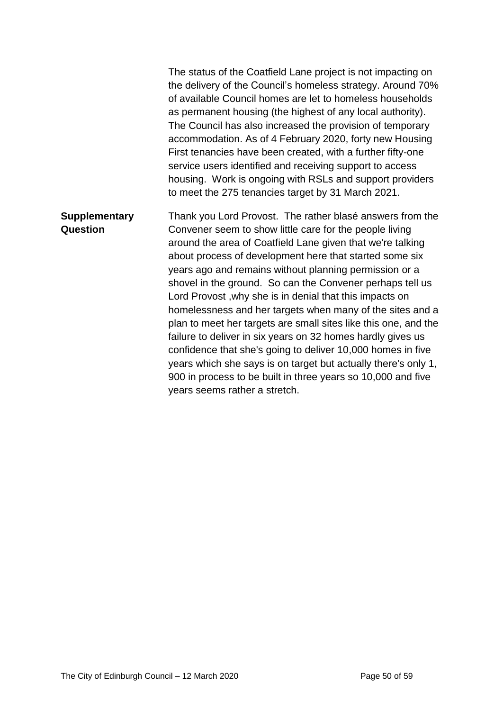The status of the Coatfield Lane project is not impacting on the delivery of the Council's homeless strategy. Around 70% of available Council homes are let to homeless households as permanent housing (the highest of any local authority). The Council has also increased the provision of temporary accommodation. As of 4 February 2020, forty new Housing First tenancies have been created, with a further fifty-one service users identified and receiving support to access housing. Work is ongoing with RSLs and support providers to meet the 275 tenancies target by 31 March 2021. **Supplementary Question** Thank you Lord Provost. The rather blasé answers from the Convener seem to show little care for the people living around the area of Coatfield Lane given that we're talking about process of development here that started some six years ago and remains without planning permission or a shovel in the ground. So can the Convener perhaps tell us Lord Provost ,why she is in denial that this impacts on homelessness and her targets when many of the sites and a plan to meet her targets are small sites like this one, and the failure to deliver in six years on 32 homes hardly gives us confidence that she's going to deliver 10,000 homes in five years which she says is on target but actually there's only 1, 900 in process to be built in three years so 10,000 and five years seems rather a stretch.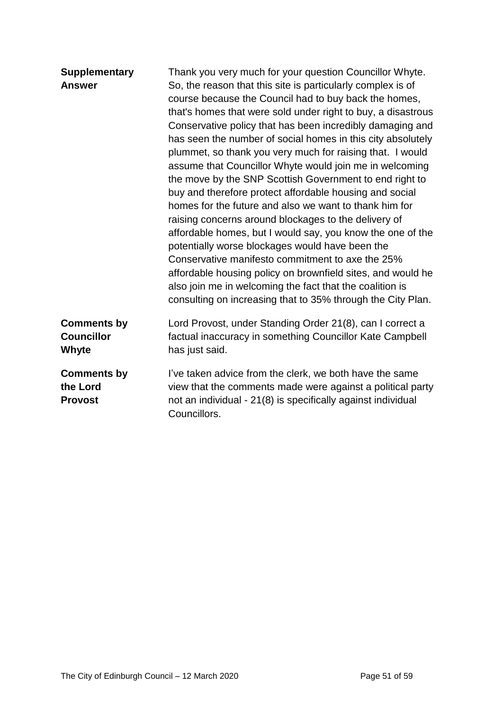| <b>Supplementary</b><br><b>Answer</b>            | Thank you very much for your question Councillor Whyte.<br>So, the reason that this site is particularly complex is of<br>course because the Council had to buy back the homes,<br>that's homes that were sold under right to buy, a disastrous<br>Conservative policy that has been incredibly damaging and<br>has seen the number of social homes in this city absolutely<br>plummet, so thank you very much for raising that. I would<br>assume that Councillor Whyte would join me in welcoming<br>the move by the SNP Scottish Government to end right to<br>buy and therefore protect affordable housing and social<br>homes for the future and also we want to thank him for<br>raising concerns around blockages to the delivery of<br>affordable homes, but I would say, you know the one of the<br>potentially worse blockages would have been the<br>Conservative manifesto commitment to axe the 25%<br>affordable housing policy on brownfield sites, and would he<br>also join me in welcoming the fact that the coalition is<br>consulting on increasing that to 35% through the City Plan. |
|--------------------------------------------------|------------------------------------------------------------------------------------------------------------------------------------------------------------------------------------------------------------------------------------------------------------------------------------------------------------------------------------------------------------------------------------------------------------------------------------------------------------------------------------------------------------------------------------------------------------------------------------------------------------------------------------------------------------------------------------------------------------------------------------------------------------------------------------------------------------------------------------------------------------------------------------------------------------------------------------------------------------------------------------------------------------------------------------------------------------------------------------------------------------|
| <b>Comments by</b><br><b>Councillor</b><br>Whyte | Lord Provost, under Standing Order 21(8), can I correct a<br>factual inaccuracy in something Councillor Kate Campbell<br>has just said.                                                                                                                                                                                                                                                                                                                                                                                                                                                                                                                                                                                                                                                                                                                                                                                                                                                                                                                                                                    |
| <b>Comments by</b><br>the Lord<br><b>Provost</b> | I've taken advice from the clerk, we both have the same<br>view that the comments made were against a political party<br>not an individual - 21(8) is specifically against individual<br>Councillors.                                                                                                                                                                                                                                                                                                                                                                                                                                                                                                                                                                                                                                                                                                                                                                                                                                                                                                      |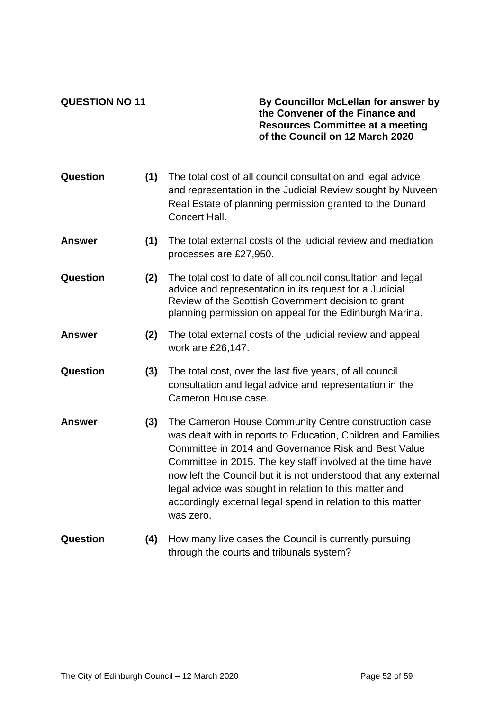**QUESTION NO 11 By Councillor McLellan for answer by the Convener of the Finance and Resources Committee at a meeting of the Council on 12 March 2020**

| Question      | (1) | The total cost of all council consultation and legal advice<br>and representation in the Judicial Review sought by Nuveen<br>Real Estate of planning permission granted to the Dunard<br>Concert Hall.                                                                                                                                                                                                                                               |
|---------------|-----|------------------------------------------------------------------------------------------------------------------------------------------------------------------------------------------------------------------------------------------------------------------------------------------------------------------------------------------------------------------------------------------------------------------------------------------------------|
| <b>Answer</b> | (1) | The total external costs of the judicial review and mediation<br>processes are £27,950.                                                                                                                                                                                                                                                                                                                                                              |
| Question      | (2) | The total cost to date of all council consultation and legal<br>advice and representation in its request for a Judicial<br>Review of the Scottish Government decision to grant<br>planning permission on appeal for the Edinburgh Marina.                                                                                                                                                                                                            |
| <b>Answer</b> | (2) | The total external costs of the judicial review and appeal<br>work are £26,147.                                                                                                                                                                                                                                                                                                                                                                      |
| Question      | (3) | The total cost, over the last five years, of all council<br>consultation and legal advice and representation in the<br>Cameron House case.                                                                                                                                                                                                                                                                                                           |
| <b>Answer</b> | (3) | The Cameron House Community Centre construction case<br>was dealt with in reports to Education, Children and Families<br>Committee in 2014 and Governance Risk and Best Value<br>Committee in 2015. The key staff involved at the time have<br>now left the Council but it is not understood that any external<br>legal advice was sought in relation to this matter and<br>accordingly external legal spend in relation to this matter<br>was zero. |
| Question      | (4) | How many live cases the Council is currently pursuing<br>through the courts and tribunals system?                                                                                                                                                                                                                                                                                                                                                    |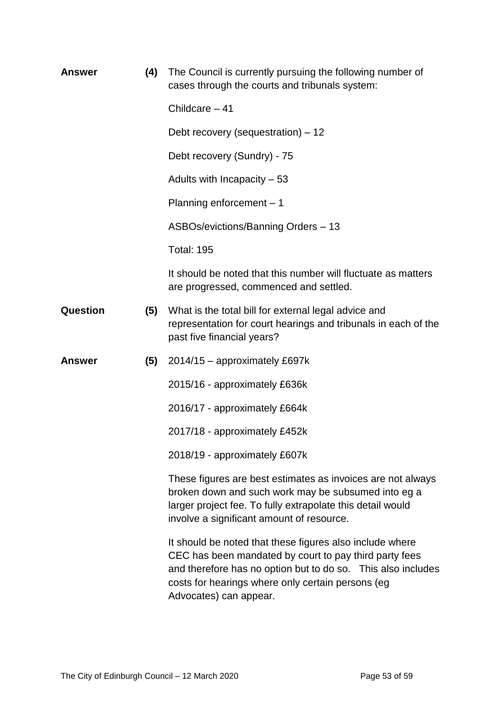| Answer        | (4) | The Council is currently pursuing the following number of<br>cases through the courts and tribunals system:                                                                                                                                                       |
|---------------|-----|-------------------------------------------------------------------------------------------------------------------------------------------------------------------------------------------------------------------------------------------------------------------|
|               |     | Childcare $-41$                                                                                                                                                                                                                                                   |
|               |     | Debt recovery (sequestration) – 12                                                                                                                                                                                                                                |
|               |     | Debt recovery (Sundry) - 75                                                                                                                                                                                                                                       |
|               |     | Adults with Incapacity $-53$                                                                                                                                                                                                                                      |
|               |     | Planning enforcement $-1$                                                                                                                                                                                                                                         |
|               |     | ASBOs/evictions/Banning Orders - 13                                                                                                                                                                                                                               |
|               |     | <b>Total: 195</b>                                                                                                                                                                                                                                                 |
|               |     | It should be noted that this number will fluctuate as matters<br>are progressed, commenced and settled.                                                                                                                                                           |
| Question      | (5) | What is the total bill for external legal advice and<br>representation for court hearings and tribunals in each of the<br>past five financial years?                                                                                                              |
| <b>Answer</b> | (5) | 2014/15 - approximately £697k                                                                                                                                                                                                                                     |
|               |     | 2015/16 - approximately £636k                                                                                                                                                                                                                                     |
|               |     | 2016/17 - approximately £664k                                                                                                                                                                                                                                     |
|               |     | 2017/18 - approximately £452k                                                                                                                                                                                                                                     |
|               |     | 2018/19 - approximately £607k                                                                                                                                                                                                                                     |
|               |     | These figures are best estimates as invoices are not always<br>broken down and such work may be subsumed into eg a<br>larger project fee. To fully extrapolate this detail would<br>involve a significant amount of resource.                                     |
|               |     | It should be noted that these figures also include where<br>CEC has been mandated by court to pay third party fees<br>and therefore has no option but to do so. This also includes<br>costs for hearings where only certain persons (eg<br>Advocates) can appear. |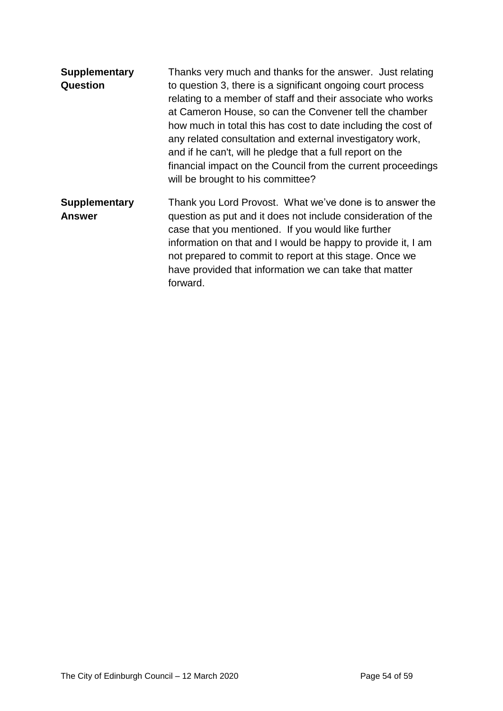| <b>Supplementary</b><br>Question      | Thanks very much and thanks for the answer. Just relating<br>to question 3, there is a significant ongoing court process<br>relating to a member of staff and their associate who works<br>at Cameron House, so can the Convener tell the chamber<br>how much in total this has cost to date including the cost of<br>any related consultation and external investigatory work,<br>and if he can't, will he pledge that a full report on the<br>financial impact on the Council from the current proceedings<br>will be brought to his committee? |
|---------------------------------------|---------------------------------------------------------------------------------------------------------------------------------------------------------------------------------------------------------------------------------------------------------------------------------------------------------------------------------------------------------------------------------------------------------------------------------------------------------------------------------------------------------------------------------------------------|
| <b>Supplementary</b><br><b>Answer</b> | Thank you Lord Provost. What we've done is to answer the<br>question as put and it does not include consideration of the<br>case that you mentioned. If you would like further<br>information on that and I would be happy to provide it, I am<br>not prepared to commit to report at this stage. Once we<br>have provided that information we can take that matter<br>forward.                                                                                                                                                                   |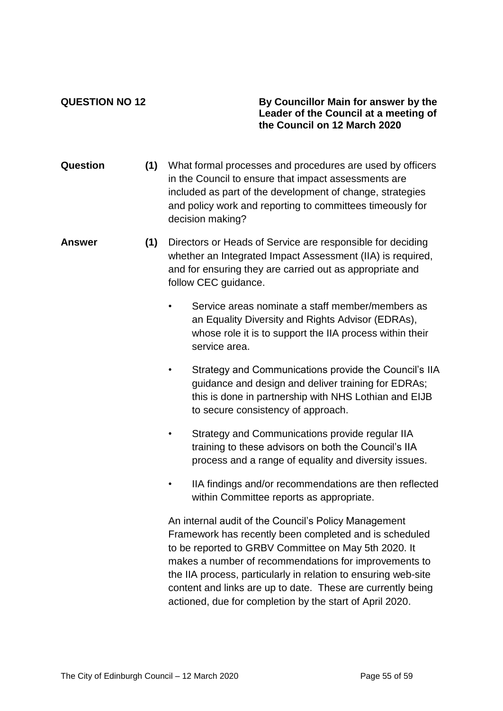**QUESTION NO 12 By Councillor Main for answer by the Leader of the Council at a meeting of the Council on 12 March 2020**

- **Question (1)** What formal processes and procedures are used by officers in the Council to ensure that impact assessments are included as part of the development of change, strategies and policy work and reporting to committees timeously for decision making?
- **Answer (1)** Directors or Heads of Service are responsible for deciding whether an Integrated Impact Assessment (IIA) is required, and for ensuring they are carried out as appropriate and follow CEC guidance.
	- Service areas nominate a staff member/members as an Equality Diversity and Rights Advisor (EDRAs), whose role it is to support the IIA process within their service area.
	- Strategy and Communications provide the Council's IIA guidance and design and deliver training for EDRAs; this is done in partnership with NHS Lothian and EIJB to secure consistency of approach.
	- Strategy and Communications provide regular IIA training to these advisors on both the Council's IIA process and a range of equality and diversity issues.
	- IIA findings and/or recommendations are then reflected within Committee reports as appropriate.

An internal audit of the Council's Policy Management Framework has recently been completed and is scheduled to be reported to GRBV Committee on May 5th 2020. It makes a number of recommendations for improvements to the IIA process, particularly in relation to ensuring web-site content and links are up to date. These are currently being actioned, due for completion by the start of April 2020.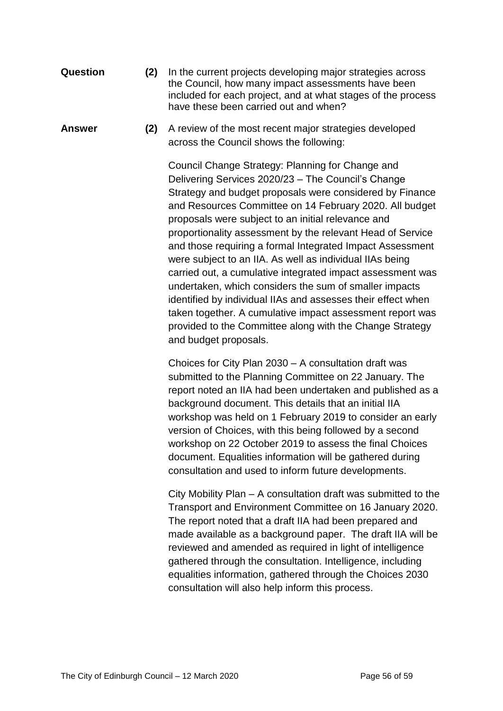- **Question (2)** In the current projects developing major strategies across the Council, how many impact assessments have been included for each project, and at what stages of the process have these been carried out and when?
- **Answer (2)** A review of the most recent major strategies developed across the Council shows the following:

Council Change Strategy: Planning for Change and Delivering Services 2020/23 – The Council's Change Strategy and budget proposals were considered by Finance and Resources Committee on 14 February 2020. All budget proposals were subject to an initial relevance and proportionality assessment by the relevant Head of Service and those requiring a formal Integrated Impact Assessment were subject to an IIA. As well as individual IIAs being carried out, a cumulative integrated impact assessment was undertaken, which considers the sum of smaller impacts identified by individual IIAs and assesses their effect when taken together. A cumulative impact assessment report was provided to the Committee along with the Change Strategy and budget proposals.

Choices for City Plan 2030 – A consultation draft was submitted to the Planning Committee on 22 January. The report noted an IIA had been undertaken and published as a background document. This details that an initial IIA workshop was held on 1 February 2019 to consider an early version of Choices, with this being followed by a second workshop on 22 October 2019 to assess the final Choices document. Equalities information will be gathered during consultation and used to inform future developments.

City Mobility Plan – A consultation draft was submitted to the Transport and Environment Committee on 16 January 2020. The report noted that a draft IIA had been prepared and made available as a background paper. The draft IIA will be reviewed and amended as required in light of intelligence gathered through the consultation. Intelligence, including equalities information, gathered through the Choices 2030 consultation will also help inform this process.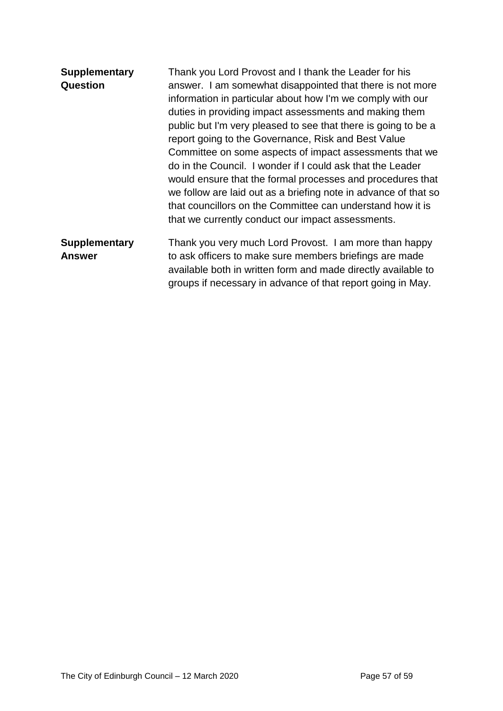| <b>Supplementary</b><br>Question      | Thank you Lord Provost and I thank the Leader for his<br>answer. I am somewhat disappointed that there is not more<br>information in particular about how I'm we comply with our<br>duties in providing impact assessments and making them<br>public but I'm very pleased to see that there is going to be a<br>report going to the Governance, Risk and Best Value<br>Committee on some aspects of impact assessments that we<br>do in the Council. I wonder if I could ask that the Leader<br>would ensure that the formal processes and procedures that<br>we follow are laid out as a briefing note in advance of that so |
|---------------------------------------|-------------------------------------------------------------------------------------------------------------------------------------------------------------------------------------------------------------------------------------------------------------------------------------------------------------------------------------------------------------------------------------------------------------------------------------------------------------------------------------------------------------------------------------------------------------------------------------------------------------------------------|
|                                       | that councillors on the Committee can understand how it is<br>that we currently conduct our impact assessments.                                                                                                                                                                                                                                                                                                                                                                                                                                                                                                               |
| <b>Supplementary</b><br><b>Answer</b> | Thank you very much Lord Provost. I am more than happy<br>to ask officers to make sure members briefings are made<br>available both in written form and made directly available to<br>groups if necessary in advance of that report going in May.                                                                                                                                                                                                                                                                                                                                                                             |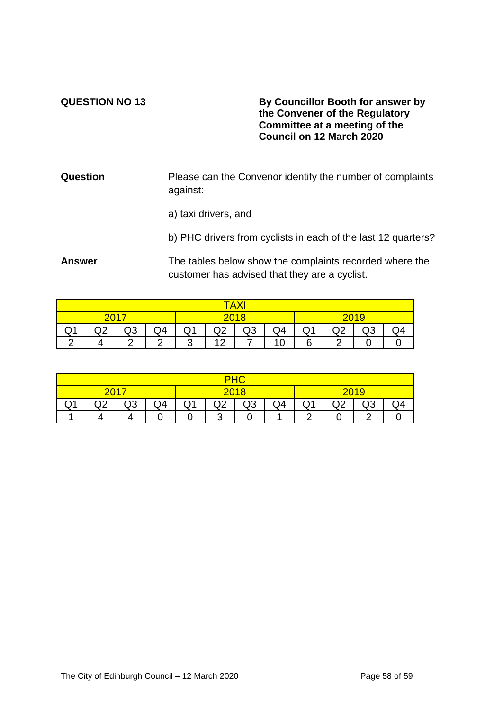#### **QUESTION NO 13 By Councillor Booth for answer by the Convener of the Regulatory Committee at a meeting of the Council on 12 March 2020**

**Question** Please can the Convenor identify the number of complaints against:

a) taxi drivers, and

b) PHC drivers from cyclists in each of the last 12 quarters?

**Answer** The tables below show the complaints recorded where the customer has advised that they are a cyclist.

| А<br>↗ |   |        |        |             |                            |  |                  |            |   |   |  |
|--------|---|--------|--------|-------------|----------------------------|--|------------------|------------|---|---|--|
|        |   |        |        |             |                            |  |                  | <u> 19</u> |   |   |  |
| $\sim$ | ◡ | Q3     | Q4     | ا بي        | Q4<br>∩ว<br>റാ<br>wo<br>অ∠ |  |                  |            | ◡ | ∾ |  |
|        |   | $\sim$ | $\sim$ | $\sim$<br>ີ | 10                         |  | $\sim$<br>и<br>u | 6          | ◠ |   |  |

|                       | 201         |          |    | 2018 |                    |  |  | <u>१५ ।</u> |         |         |  |
|-----------------------|-------------|----------|----|------|--------------------|--|--|-------------|---------|---------|--|
| $\tilde{\phantom{a}}$ | $\sim$<br>◡ | ⌒⌒<br>טש | Q4 | Q1   | Q4<br>ົ<br>Q3<br>◡ |  |  |             | ነጋ<br>◡ | C<br>∾∝ |  |
|                       |             |          |    |      | ◠<br>J             |  |  | ◠           |         | ◠       |  |